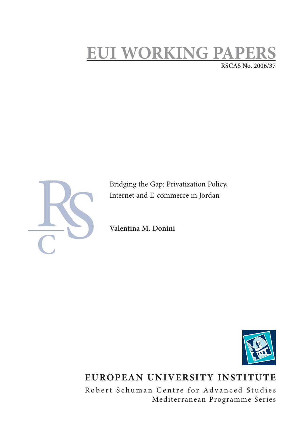# **EUI WORKING PAPE RSCAS No. 2006/37**



Bridging the Gap: Privatization Policy, Internet and E-commerce in Jordan

**Valentina M. Donini**



## **EUROPEAN UNIVERSITY INSTITUTE**

Robert Schuman Centre for Advanced Studies Mediterranean Programme Series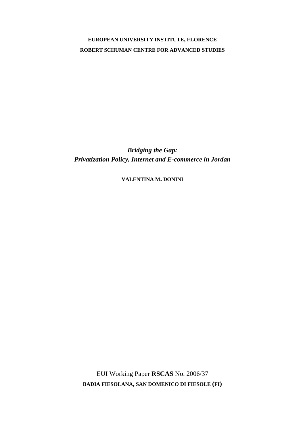### **EUROPEAN UNIVERSITY INSTITUTE, FLORENCE ROBERT SCHUMAN CENTRE FOR ADVANCED STUDIES**

*Bridging the Gap: Privatization Policy, Internet and E-commerce in Jordan* 

**VALENTINA M. DONINI**

EUI Working Paper **RSCAS** No. 2006/37 **BADIA FIESOLANA, SAN DOMENICO DI FIESOLE (FI)**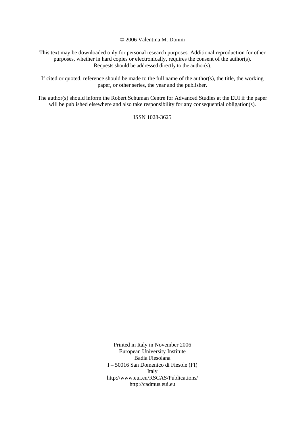© 2006 Valentina M. Donini

This text may be downloaded only for personal research purposes. Additional reproduction for other purposes, whether in hard copies or electronically, requires the consent of the author(s). Requests should be addressed directly to the author(s).

If cited or quoted, reference should be made to the full name of the author(s), the title, the working paper, or other series, the year and the publisher.

The author(s) should inform the Robert Schuman Centre for Advanced Studies at the EUI if the paper will be published elsewhere and also take responsibility for any consequential obligation(s).

ISSN 1028-3625

Printed in Italy in November 2006 European University Institute Badia Fiesolana I – 50016 San Domenico di Fiesole (FI) Italy [http://www.eui.eu/RSCAS/Publications/](http://www.eui.eu/RSCAS/Publications)  <http://cadmus.eui.eu>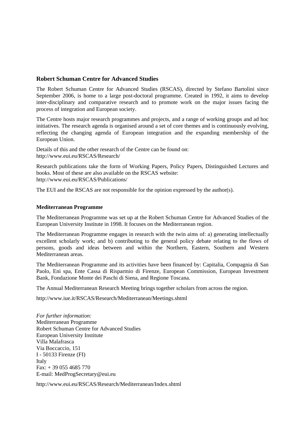#### **Robert Schuman Centre for Advanced Studies**

The Robert Schuman Centre for Advanced Studies (RSCAS), directed by Stefano Bartolini since September 2006, is home to a large post-doctoral programme. Created in 1992, it aims to develop inter-disciplinary and comparative research and to promote work on the major issues facing the process of integration and European society.

The Centre hosts major research programmes and projects, and a range of working groups and ad hoc initiatives. The research agenda is organised around a set of core themes and is continuously evolving, reflecting the changing agenda of European integration and the expanding membership of the European Union.

Details of this and the other research of the Centre can be found on: [http://www.eui.eu/RSCAS/Research/](http://www.eui.eu/RSCAS/Research) 

Research publications take the form of Working Papers, Policy Papers, Distinguished Lectures and books. Most of these are also available on the RSCAS website: [http://www.eui.eu/RSCAS/Publications/](http://www.eui.eu/RSCAS/Publications) 

The EUI and the RSCAS are not responsible for the opinion expressed by the author(s).

#### **Mediterranean Programme**

The Mediterranean Programme was set up at the Robert Schuman Centre for Advanced Studies of the European University Institute in 1998. It focuses on the Mediterranean region.

The Mediterranean Programme engages in research with the twin aims of: a) generating intellectually excellent scholarly work; and b) contributing to the general policy debate relating to the flows of persons, goods and ideas between and within the Northern, Eastern, Southern and Western Mediterranean areas.

The Mediterranean Programme and its activities have been financed by: Capitalia, Compagnia di San Paolo, Eni spa, Ente Cassa di Risparmio di Firenze, European Commission, European Investment Bank, Fondazione Monte dei Paschi di Siena, and Regione Toscana.

The Annual Mediterranean Research Meeting brings together scholars from across the region.

<http://www.iue.it/RSCAS/Research/Mediterranean/Meetings.shtml>

*For further information:*  Mediterranean Programme Robert Schuman Centre for Advanced Studies European University Institute Villa Malafrasca Via Boccaccio, 151 I - 50133 Firenze (FI) Italy Fax: + 39 055 4685 770 E-mail: [MedProgSecretary@eui.eu](mailto:MedProgSecretary@eui.eu) 

<http://www.eui.eu/RSCAS/Research/Mediterranean/Index.shtml>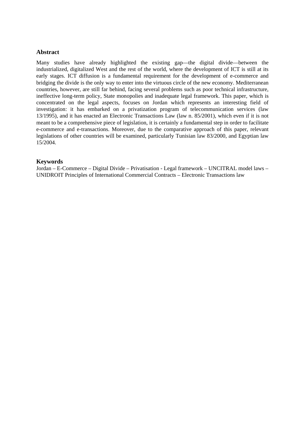#### **Abstract**

Many studies have already highlighted the existing gap—the digital divide—between the industrialized, digitalized West and the rest of the world, where the development of ICT is still at its early stages. ICT diffusion is a fundamental requirement for the development of e-commerce and bridging the divide is the only way to enter into the virtuous circle of the new economy. Mediterranean countries, however, are still far behind, facing several problems such as poor technical infrastructure, ineffective long-term policy, State monopolies and inadequate legal framework. This paper, which is concentrated on the legal aspects, focuses on Jordan which represents an interesting field of investigation: it has embarked on a privatization program of telecommunication services (law 13/1995), and it has enacted an Electronic Transactions Law (law n. 85/2001), which even if it is not meant to be a comprehensive piece of legislation, it is certainly a fundamental step in order to facilitate e-commerce and e-transactions. Moreover, due to the comparative approach of this paper, relevant legislations of other countries will be examined, particularly Tunisian law 83/2000, and Egyptian law 15/2004.

#### **Keywords**

Jordan – E-Commerce – Digital Divide – Privatisation - Legal framework – UNCITRAL model laws – UNIDROIT Principles of International Commercial Contracts – Electronic Transactions law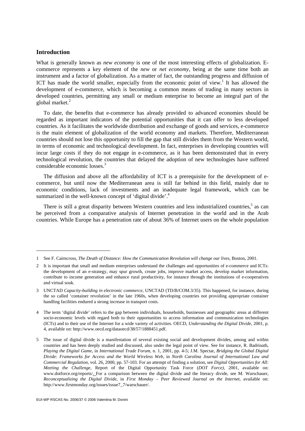#### **Introduction**

1

What is generally known as *new economy* is one of the most interesting effects of globalization. Ecommerce represents a key element of the *new* or *net economy*, being at the same time both an instrument and a factor of globalization. As a matter of fact, the outstanding progress and diffusion of ICT has made the world smaller, especially from the economic point of view.<sup>1</sup> It has allowed the development of e-commerce, which is becoming a common means of trading in many sectors in developed countries, permitting any small or medium enterprise to become an integral part of the global market.<sup>2</sup>

To date, the benefits that e-commerce has already provided to advanced economies should be regarded as important indicators of the potential opportunities that it can offer to less developed countries. As it facilitates the worldwide distribution and exchange of goods and services, e-commerce is the main element of globalization of the world economy and markets. Therefore, Mediterranean countries should not lose this opportunity to fill the gap that still divides them from the Western world, in terms of economic and technological development. In fact, enterprises in developing countries will incur large costs if they do not engage in e-commerce, as it has been demonstrated that in every technological revolution, the countries that delayed the adoption of new technologies have suffered considerable economic losses.<sup>3</sup>

The diffusion and above all the affordability of ICT is a prerequisite for the development of ecommerce, but until now the Mediterranean area is still far behind in this field, mainly due to economic conditions, lack of investments and an inadequate legal framework, which can be summarized in the well-known concept of 'digital divide'.<sup>4</sup>

There is still a great disparity between Western countries and less industrialized countries, $5$  as can be perceived from a comparative analysis of Internet penetration in the world and in the Arab countries. While Europe has a penetration rate of about 36% of Internet users on the whole population

<sup>1</sup> See F. Cairncross, *The Death of Distance: How the Communication Revolution will change our lives*, Boston, 2001.

<sup>2</sup> It is important that small and medium enterprises understand the challenges and opportunities of e-commerce and ICTs: the development of an e-strategy, may spur growth, create jobs, improve market access, develop market information, contribute to income generation and enhance rural productivity, for instance through the institutions of e-cooperatives and virtual souk.

<sup>3</sup> UNCTAD *Capacity-building in electronic commerce*, UNCTAD (TD/B/COM.3/35). This happened, for instance, during the so called 'container revolution' in the late 1960s, when developing countries not providing appropriate container handling facilities endured a strong increase in transport costs.

<sup>4</sup> The term 'digital divide' refers to the gap between individuals, households, businesses and geographic areas at different socio-economic levels with regard both to their opportunities to access information and communication technologies (ICTs) and to their use of the Internet for a wide variety of activities. OECD, *Understanding the Digital Divide*, 2001, p. 4, available on: [http://www.oecd.org/dataoecd/38/57/1888451.pdf.](http://www.oecd.org/dataoecd/38/57/1888451.pdf)

<sup>5</sup> The issue of digital divide is a manifestation of several existing social and development divides, among and within countries and has been deeply studied and discussed, also under the legal point of view. See for instance, R. Badrinath, *Playing the Digital Game*, in *International Trade Forum*, n. 1, 2001, pp. 4-5; J.M. Spectar, *Bridging the Global Digital Divide: Frameworks for Access and the World Wireless Web*, in *North Carolina Journal of International Law and Commercial Regulation*, vol. 26, 2000, pp. 57-103. For an attempt of finding a solution, see *Digital Opportunities for All: Meeting the Challenge,* Report of the Digital Opportunity Task Force (*DOT Force)*, 2001, available on: [www.dotforce.org/reports/. F](http://www.dotforce.org/reports)or a comparison between the digital divide and the literacy divide, see M. Warschauer, *Reconceptualizing the Digital Divide*, in *First Monday – Peer Reviewed Journal on the Internet*, available on: [http://www.firstmonday.org/issues/issue7\\_7/warschauer/.](http://www.firstmonday.org/issues/issue7_7/warschauer)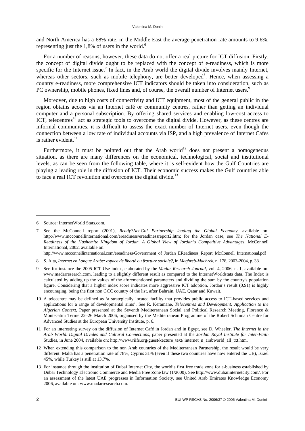and North America has a 68% rate, in the Middle East the average penetration rate amounts to 9,6%, representing just the  $1,8\%$  of users in the world.<sup>6</sup>

For a number of reasons, however, these data do not offer a real picture for ICT diffusion. Firstly, the concept of digital divide ought to be replaced with the concept of e-readiness, which is more specific for the Internet issue.<sup>7</sup> In fact, in the Arab world the digital divide involves mainly Internet, whereas other sectors, such as mobile telephony, are better developed<sup>8</sup>. Hence, when assessing a country e-readiness, more comprehensive ICT indicators should be taken into consideration, such as PC ownership, mobile phones, fixed lines and, of course, the overall number of Internet users.  $\overline{a}$ 

Moreover, due to high costs of connectivity and ICT equipment, most of the general public in the region obtains access via an Internet café or community centres, rather than getting an individual computer and a personal subscription. By offering shared services and enabling low-cost access to ICT, telecentres<sup>10</sup> act as strategic tools to overcome the digital divide. However, as these centres are informal communities, it is difficult to assess the exact number of Internet users, even though the connection between a low rate of individual accounts via ISP, and a high prevalence of Internet Cafes is rather evident. $^{11}$ 

Furthermore, it must be pointed out that the Arab world<sup>12</sup> does not present a homogeneous situation, as there are many differences on the economical, technological, social and institutional levels, as can be seen from the following table, where it is self-evident how the Gulf Countries are playing a leading role in the diffusion of ICT. Their economic success makes the Gulf countries able to face a real ICT revolution and overcome the digital divide.<sup>13</sup>

-

[http://www.mcconnellinternational.com/ereadiness/Government\\_of\\_Jordan\\_EReadiness\\_Report\\_McConnell\\_International.pdf](http://www.mcconnellinternational.com/ereadiness/Government_of_Jordan_EReadiness_Report_McConnell_International.pdf) 

<sup>6</sup> Source: InternetWorld Stats.com.

<sup>7</sup> See the McConnell report (2001), *Ready?Net.Go! Partnership leading the Global Economy*, available on: [http://www.mcconnellinternational.com/ereadiness/ereadinessreport2.htm;](http://www.mcconnellinternational.com/ereadiness/ereadinessreport2.htm) for the Jordan case, see *The National E-Readiness of the Hashemite Kingdom of Jordan. A Global View of Jordan's Competitive Advantages*, McConnell International, 2002, available on:

<sup>8</sup> S. Aita, *Internet en Langue Arabe: espace de liberté ou fracture sociale?*, in *Maghreb-Machrek*, n. 178, 2003-2004, p. 38.

<sup>9</sup> See for instance the 2005 ICT Use index, elaborated by the *Madar Research Journal*, vol. 4, 2006, n. 1, available on: [www.madarresearch.com,](http://www.madarresearch.com) leading to a slightly different result as compared to the InternetWorldstats data. The Index is calculated by adding up the values of the aforementioned parameters and dividing the sum by the country's population figure. Considering that a higher index score indicates more aggressive ICT adoption, Jordan's result (0,91) is highly encouraging, being the first non GCC country of the list, after Bahrain, UAE, Qatar and Kuwait.

<sup>10</sup> A telecentre may be defined as 'a strategically located facility that provides public access to ICT-based services and applications for a range of developmental aims'. See R. Keramane, *Telecentres and Development: Application to the Algerian Context*, Paper presented at the Seventh Mediterranean Social and Political Research Meeting, Florence & Montecatini Terme 22–26 March 2006, organised by the Mediterranean Programme of the Robert Schuman Centre for Advanced Studies at the European University Institute, p. 6.

<sup>11</sup> For an interesting survey on the diffusion of Internet Café in Jordan and in Egypt, see D. Wheeler, *The Internet in the Arab World: Digital Divides and Cultural Connections*, paper presented at the *Jordan Royal Institute for Inter-Faith*  Studies, in June 2004, available on: [http://www.riifs.org/guest/kecture\\_text/](http://www.riifs.org/guest/kecture_text) internet\_n\_arabworld\_all\_txt.htm.

<sup>12</sup> When extending this comparison to the non Arab countries of the Mediterranean Partnership, the result would be very different: Malta has a penetration rate of 78%, Cyprus 31% (even if these two countries have now entered the UE), Israel 45%, while Turkey is still at 13,7%.

<sup>13</sup> For instance through the institution of Dubai Internet City, the world's first free trade zone for e-business established by Dubai Technology Electronic Commerce and Media Free Zone law (1/2000). See [http://www.dubaiinternetcity.com/. Fo](http://www.dubaiinternetcity.com)r an assessment of the latest UAE progresses in Information Society, see United Arab Emirates Knowledge Economy 2006, available on: [www.madarresearch.com.](http://www.madarresearch.com)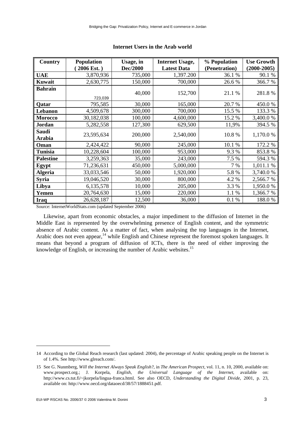| Country                | <b>Population</b><br>2006 Est.) | Usage, in<br>Dec/2000 | <b>Internet Usage,</b><br><b>Latest Data</b> | % Population<br>(Penetration) | <b>Use Growth</b><br>$(2000 - 2005)$ |
|------------------------|---------------------------------|-----------------------|----------------------------------------------|-------------------------------|--------------------------------------|
| <b>UAE</b>             | 3,870,936                       | 735,000               | 1,397.200                                    | 36.1 %                        | 90.1 %                               |
| Kuwait                 | 2,630,775                       | 150,000               | 700,000                                      | 26.6%                         | 366.7%                               |
| <b>Bahrain</b>         | 723,039                         | 40,000                | 152,700                                      | 21.1 %                        | 281.8%                               |
| Qatar                  | 795,585                         | 30,000                | 165,000                                      | 20.7 %                        | 450.0%                               |
| Lebanon                | 4,509,678                       | 300,000               | 700,000                                      | 15.5 %                        | 133.3 %                              |
| <b>Morocco</b>         | 30,182,038                      | 100,000               | 4,600,000                                    | 15.2 %                        | 3,400.0 %                            |
| Jordan                 | 5,282,558                       | 127,300               | 629,500                                      | 11,9%                         | 394.5 %                              |
| <b>Saudi</b><br>Arabia | 23,595,634                      | 200,000               | 2,540,000                                    | 10.8%                         | 1,170.0 %                            |
| Oman                   | 2,424,422                       | 90,000                | 245,000                                      | 10.1 %                        | 172.2 %                              |
| <b>Tunisia</b>         | 10,228,604                      | 100,000               | 953,000                                      | 9.3 %                         | 853.8%                               |
| <b>Palestine</b>       | 3,259,363                       | 35,000                | 243,000                                      | 7.5 %                         | 594.3 %                              |
| Egypt                  | 71,236,631                      | 450,000               | 5,000,000                                    | 7 %                           | 1,011.1 %                            |
| <b>Algeria</b>         | 33,033,546                      | 50,000                | 1,920,000                                    | 5.8%                          | 3,740.0 %                            |
| <b>Syria</b>           | 19,046,520                      | 30,000                | 800,000                                      | 4.2 %                         | 2,566.7%                             |
| Libya                  | 6,135,578                       | 10,000                | 205,000                                      | 3.3 %                         | 1,950.0 %                            |
| Yemen                  | 20,764,630                      | 15,000                | 220,000                                      | 1.1 %                         | 1,366.7%                             |
| <b>Iraq</b>            | 26,628,187                      | 12,500                | 36,000                                       | 0.1%                          | 188.0%                               |

#### **Internet Users in the Arab world**

Source: InternetWorldStats.com (updated September 2006)

Likewise, apart from economic obstacles, a major impediment to the diffusion of Internet in the Middle East is represented by the overwhelming presence of English content, and the symmetric absence of Arabic content. As a matter of fact, when analysing the top languages in the Internet, Arabic does not even appear, $14$  while English and Chinese represent the foremost spoken languages. It means that beyond a program of diffusion of ICTs, there is the need of either improving the knowledge of English, or increasing the number of Arabic websites.15

-

<sup>14</sup> According to the Global Reach research (last updated: 2004), the percentage of Arabic speaking people on the Internet is of 1.4%. See [http://www.glreach.com/.](http://www.glreach.com) 

<sup>15</sup> See G. Nunmberg, *Will the Internet Always Speak English?*, in *The American Prospect*, vol. 11, n. 10, 2000, available on: [www.prospect.or](http://www.prospect.org)g.; J. Korpela, *English, the Universal Language of the Internet*, available on: [http://www.cs.tut.fi/~jkorpela/lingua-franca.html.](http://www.cs.tut.fi/~jkorpela/lingua-franca.html) See also OECD, *Understanding the Digital Divide*, 2001, p. 23, available on: [http://www.oecd.org/dataoecd/38/57/1888451.pdf.](http://www.oecd.org/dataoecd/38/57/1888451.pdf)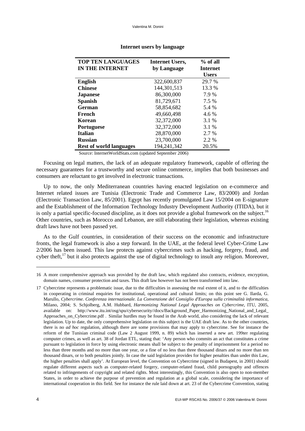| <b>TOP TEN LANGUAGES</b>       | <b>Internet Users,</b> | $%$ of all   |
|--------------------------------|------------------------|--------------|
| IN THE INTERNET                | by Language            | Internet     |
|                                |                        | <b>Users</b> |
| <b>English</b>                 | 322,600,837            | 29.7 %       |
| <b>Chinese</b>                 | 144,301,513            | 13.3 %       |
| <b>Japanese</b>                | 86,300,000             | 7.9 %        |
| <b>Spanish</b>                 | 81,729,671             | 7.5 %        |
| German                         | 58,854,682             | 5.4 %        |
| French                         | 49,660,498             | 4.6 %        |
| Korean                         | 32,372,000             | 3.1 %        |
| <b>Portuguese</b>              | 32,372,000             | 3.1 %        |
| Italian                        | 28,870,000             | 2.7 %        |
| <b>Russian</b>                 | 23,700,000             | 2.2 %        |
| <b>Rest of world languages</b> | 194,241,342            | 20.5%        |

#### **Internet users by language**

Source: InternetWorldStats.com (updated September 2006)

Focusing on legal matters, the lack of an adequate regulatory framework, capable of offering the necessary guarantees for a trustworthy and secure online commerce, implies that both businesses and consumers are reluctant to get involved in electronic transactions.

Up to now, the only Mediterranean countries having enacted legislation on e-commerce and Internet related issues are Tunisia (Electronic Trade and Commerce Law, 83/2000) and Jordan (Electronic Transaction Law, 85/2001). Egypt has recently promulgated Law 15/2004 on E-signature and the Establishment of the Information Technology Industry Development Authority (ITIDA), but it is only a partial specific-focused discipline, as it does not provide a global framework on the subject.<sup>16</sup> Other countries, such as Morocco and Lebanon, are still elaborating their legislation, whereas existing draft laws have not been passed yet.

As to the Gulf countries, in consideration of their success on the economic and infrastructure fronts, the legal framework is also a step forward. In the UAE, at the federal level Cyber-Crime Law 2/2006 has been issued. This law protects against cybercrimes such as hacking, forgery, fraud, and cyber theft, $^{17}$  but it also protects against the use of digital technology to insult any religion. Moreover,

<sup>16</sup> A more comprehensive approach was provided by the draft law, which regulated also contracts, evidence, encryption, domain names, consumer protection and taxes. This draft law however has not been transformed into law.

<sup>17</sup> Cybercrime represents a problematic issue, due to the difficulties in assessing the real extent of it, and to the difficulties in cooperating in criminal enquiries for institutional, operational and cultural limits; on this point see G. Ilarda, G. Marullo, *Cybercrime. Conferenza internazionale. La Convenzione del Consiglio d'Europa sulla criminalità informatica*, Milano, 2004; S. Schjolberg, A.M. Hubbard, *Harmonizing National Legal Approaches on Cybercrime*, ITU, 2005, available on: [http://www.itu.int/osg/spu/cybersecurity//docs/Background\\_Paper\\_Harmonizing\\_National\\_and\\_Legal\\_](http://www.itu.int/osg/spu/cybersecurity//docs/Background_Paper_Harmonizing_National_and_Legal_)  Approaches on Cybercrime.pdf . Similar hurdles may be found in the Arab world, also considering the lack of relevant legislation. Up to date, the only comprehensive legislation on this subject is the UAE draft law. As to the other countries, there is no *ad hoc* regulation, although there are some provisions that may apply to cybercrime. See for instance the reform of the Tunisian criminal code (Law 2 August 1999, n. 89) which has inserted a new art. 199ter regulating computer crimes, as well as art. 38 of Jordan ETL, stating that: 'Any person who commits an act that constitutes a crime pursuant to legislation in force by using electronic means shall be subject to the penalty of imprisonment for a period no less than three months and no more than one year, or a fine of no less than three thousand dinars and no more than ten thousand dinars, or to both penalties jointly. In case the said legislation provides for higher penalties than under this Law, the higher penalties shall apply'. At European level, the Convention on Cybercrime (signed in Budapest, in 2001) should regulate different aspects such as computer-related forgery, computer-related fraud, child pornography and offences related to infringements of copyright and related rights. Most interestingly, this Convention is also open to non-member States, in order to achieve the purpose of prevention and regulation at a global scale, considering the importance of international cooperation in this field. See for instance the rule laid down at art. 23 of the Cybercrime Convention, stating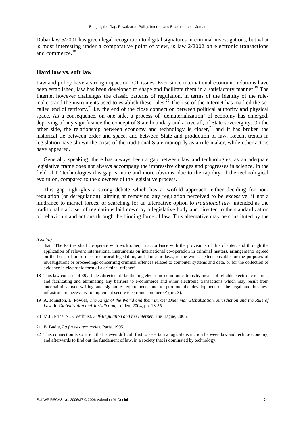Dubai law 5/2001 has given legal recognition to digital signatures in criminal investigations, but what is most interesting under a comparative point of view, is law 2/2002 on electronic transactions and commerce.<sup>18</sup>

#### **Hard law vs. soft law**

Law and policy have a strong impact on ICT issues. Ever since international economic relations have been established, law has been developed to shape and facilitate them in a satisfactory manner.<sup>19</sup> The Internet however challenges the classic patterns of regulation, in terms of the identity of the rulemakers and the instruments used to establish these rules.<sup>20</sup> The rise of the Internet has marked the socalled end of territory, $^{21}$  i.e. the end of the close connection between political authority and physical space. As a consequence, on one side, a process of 'dematerialization' of economy has emerged, depriving of any significance the concept of State boundary and above all, of State sovereignty. On the other side, the relationship between economy and technology is closer, $22$  and it has broken the historical tie between order and space, and between State and production of law. Recent trends in legislation have shown the crisis of the traditional State monopoly as a rule maker, while other actors have appeared.

Generally speaking, there has always been a gap between law and technologies, as an adequate legislative frame does not always accompany the impressive changes and progresses in science. In the field of IT technologies this gap is more and more obvious, due to the rapidity of the technological evolution, compared to the slowness of the legislative process.

This gap highlights a strong debate which has a twofold approach: either deciding for nonregulation (or deregulation), aiming at removing any regulation perceived to be excessive, if not a hindrance to market forces, or searching for an alternative option to *traditional law*, intended as the traditional static set of regulations laid down by a legislative body and directed to the standardization of behaviours and actions through the binding force of law. This alternative may be constituted by the

*(Contd.)* 

that: 'The Parties shall co-operate with each other, in accordance with the provisions of this chapter, and through the application of relevant international instruments on international co-operation in criminal matters, arrangements agreed on the basis of uniform or reciprocal legislation, and domestic laws, to the widest extent possible for the purposes of investigations or proceedings concerning criminal offences related to computer systems and data, or for the collection of evidence in electronic form of a criminal offence'.

<sup>18</sup> This law consists of 39 articles directed at 'facilitating electronic communications by means of reliable electronic records, and facilitating and eliminating any barriers to e-commerce and other electronic transactions which may result from uncertainties over writing and signature requirements and to promote the development of the legal and business infrastructure necessary to implement secure electronic commerce' (art. 3).

<sup>19</sup> A. Johnston, E. Powles, *The Kings of the World and their Dukes' Dilemma: Globalisation, Jurisdiction and the Rule of Law*, in *Globalisation and Jurisdiction*, Leiden, 2004, pp. 13-55.

<sup>20</sup> M.E. Price, S.G. Verhulst, *Self-Regulation and the Internet*, The Hague, 2005.

<sup>21</sup> B. Badie, *La fin des territories,* Paris, 1995.

<sup>22</sup> This connection is so strict, that is even difficult first to ascertain a logical distinction between law and techno-economy, and afterwards to find out the fundament of law, in a society that is dominated by technology.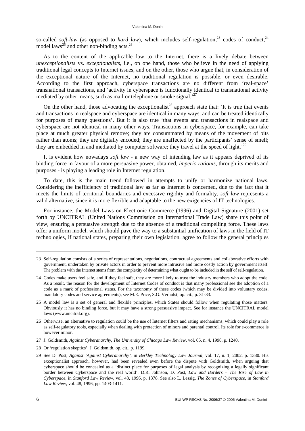so-called *soft-law* (as opposed to *hard law*), which includes self-regulation,<sup>23</sup> codes of conduct,<sup>24</sup> model  $laws^{25}$  and other non-binding acts.<sup>26</sup>

As to the content of the applicable law to the Internet, there is a lively debate between *unexceptionalists* vs. *exceptionalists*, i.e., on one hand, those who believe in the need of applying traditional legal concepts to Internet issues, and on the other, those who argue that, in consideration of the exceptional nature of the Internet, no traditional regulation is possible, or even desirable. According to the first approach, cyberspace transactions are no different from 'real-space' transnational transactions, and 'activity in cyberspace is functionally identical to transnational activity mediated by other means, such as mail or telephone or smoke signal.<sup>27</sup>

On the other hand, those advocating the exceptionalist<sup>28</sup> approach state that: 'It is true that events and transactions in realspace and cyberspace are identical in many ways, and can be treated identically for purposes of many questions'. But it is also true 'that events and transactions in realspace and cyberspace are not identical in many other ways. Transactions in cyberspace, for example, can take place at much greater physical remove; they are consummated by means of the movement of bits rather than atoms; they are digitally encoded; they are unaffected by the participants' sense of smell; they are embedded in and mediated by computer software; they travel at the speed of light.<sup>'29</sup>

It is evident how nowadays *soft law* - a new way of intending law as it appears deprived of its binding force in favour of a more persuasive power, obtained, *imperio rationis*, through its merits and purposes - is playing a leading role in Internet regulation.

To date, this is the main trend followed in attempts to unify or harmonize national laws. Considering the inefficiency of traditional law as far as Internet is concerned, due to the fact that it meets the limits of territorial boundaries and excessive rigidity and formality, *soft law* represents a valid alternative, since it is more flexible and adaptable to the new exigencies of IT technologies.

For instance, the Model Laws on Electronic Commerce (1996) and Digital Signature (2001) set forth by UNCITRAL (United Nations Commission on International Trade Law) share this point of view, ensuring a persuasive strength due to the absence of a traditional compelling force. These laws offer a uniform model, which should pave the way to a substantial unification of laws in the field of IT technologies, if national states, preparing their own legislation, agree to follow the general principles

<sup>23</sup> Self-regulation consists of a series of representations, negotiations, contractual agreements and collaborative efforts with government, undertaken by private actors in order to prevent more intrusive and more costly action by government itself. The problem with the Internet stems from the complexity of determining what ought to be included in the self of self-regulation.

<sup>24</sup> Codes make users feel safe, and if they feel safe, they are more likely to trust the industry members who adopt the code. As a result, the reason for the development of Internet Codes of conduct is that many professional see the adoption of a code as a mark of professional status. For the taxonomy of these codes (which may be divided into voluntary codes, mandatory codes and service agreements), see M.E. Price, S.G. Verhulst, op. cit., p. 31-33.

<sup>25</sup> A model law is a set of general and flexible principles, which States should follow when regulating those matters. Obviously it has no binding force, but it may have a strong persuasive impact. See for instance the UNCITRAL model laws ([www.uncitral.org\).](http://www.uncitral.org) 

<sup>26</sup> Otherwise, an alternative to regulation could be the use of Internet filters and rating mechanisms, which could play a role as self-regulatory tools, especially when dealing with protection of minors and parental control. Its role for e-commerce is however minor.

<sup>27</sup> J. Goldsmith, *Against Cyberanarchy*, *The University of Chicago Law Review*, vol. 65, n. 4, 1998, p. 1240.

<sup>28</sup> Or 'regulation skeptics', J. Goldsmith, op. cit., p. 1199.

<sup>29</sup> See D. Post, *Against 'Against Cyberanarchy'*, in *Berkley Technology Law Journal*, vol. 17, n. 1, 2002, p. 1380. His exceptionalist approach, however, had been revealed even before the dispute with Goldsmith, when arguing that cyberspace should be concealed as a 'distinct place for purposes of legal analysis by recognizing a legally significant border between Cyberspace and the real world'. D.R. Johnson, D. Post, *Law and Borders – The Rise of Law in Cyberspace*, in *Stanford Law Review*, vol. 48, 1996, p. 1378. See also L. Lessig, *The Zones of Cyberspace*, in *Stanford Law Review*, vol. 48, 1996, pp. 1403-1411.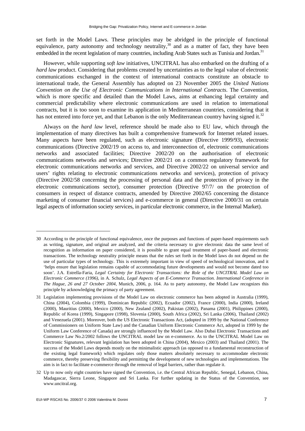set forth in the Model Laws. These principles may be abridged in the principle of functional equivalence, party autonomy and technology neutrality,<sup>30</sup> and as a matter of fact, they have been embedded in the recent legislation of many countries, including Arab States such as Tunisia and Jordan.<sup>31</sup>

However, while supporting *soft law* initiatives, UNCITRAL has also embarked on the drafting of a *hard law product.* Considering that problems created by uncertainties as to the legal value of electronic communications exchanged in the context of international contracts constitute an obstacle to international trade, the General Assembly has adopted on 23 November 2005 the *United Nations Convention on the Use of Electronic Communications in International Contracts*. The Convention, which is more specific and detailed than the Model Laws, aims at enhancing legal certainty and commercial predictability where electronic communications are used in relation to international contracts, but it is too soon to examine its application in Mediterranean countries, considering that it has not entered into force yet, and that Lebanon is the only Mediterranean country having signed it.<sup>32</sup>

Always on the *hard law* level, reference should be made also to EU law, which through the implementation of many directives has built a comprehensive framework for Internet related issues. Many aspects have been regulated, such as electronic signature (Directive 1999/93), electronic communications (Directive 2002/19 on access to, and interconnection of, electronic communications networks and associated facilities; Directive 2002/20 on the authorisation of electronic communications networks and services; Directive 2002/21 on a common regulatory framework for electronic communications networks and services, and Directive 2002/22 on universal service and users' rights relating to electronic communications networks and services), protection of privacy (Directive 2002/58 concerning the processing of personal data and the protection of privacy in the electronic communications sector), consumer protection (Directive 97/7/ on the protection of consumers in respect of distance contracts, amended by Directive 2002/65 concerning the distance marketing of consumer financial services) and e-commerce in general (Directive 2000/31 on certain legal aspects of information society services, in particular electronic commerce, in the Internal Market).

<sup>30</sup> According to the principle of functional equivalence, once the purposes and functions of paper-based requirements such as writing, signature, and original are analyzed, and the criteria necessary to give electronic data the same level of recognition as information on paper considered, it is possible to grant equal treatment of paper-based and electronic transactions. The technology neutrality principle means that the rules set forth in the Model laws do not depend on the use of particular types of technology. This is extremely important in view of speed of technological innovation, and it 'helps ensure that legislation remains capable of accommodating future developments and would not become dated too soon'. J.A. Estrella-Faria, *Legal Certainty for Electronic Transactions: the Role of the UNCITRAL Model Law on Electronic Commerce (1996)*, in A. Schulz, *Legal Aspects of an E-Commerce Transaction. International Conference in The Hague, 26 and 27 October 2004*, Munich, 2006, p. 164. As to party autonomy, the Model Law recognizes this principle by acknowledging the primacy of party agreement.

<sup>31</sup> Legislation implementing provisions of the Model Law on electronic commerce has been adopted in Australia (1999), China (2004), Colombia (1999), Dominican Republic (2002), Ecuador (2002), France (2000), India (2000), Ireland (2000), Mauritius (2000), Mexico (2000), New Zealand (2002), Pakistan (2002), Panama (2001), Philippines (2000), Republic of Korea (1999), Singapore (1998), Slovenia (2000), South Africa (2002), Sri Lanka (2006), Thailand (2002) and Venezuela (2001). Moreover, both the US Electronic Transactions Act, (adopted in 1999 by the National Conference of Commissioners on Uniform State Law) and the Canadian Uniform Electronic Commerce Act, adopted in 1999 by the Uniform Law Conference of Canada) are strongly influenced by the Model Law. Also Dubai Electronic Transactions and Commerce Law No.2/2002 follows the UNCITRAL model law on e-commerce. As to the UNCITRAL Model Law on Electronic Signatures, relevant legislation has been adopted in China (2004), Mexico (2003) and Thailand (2001). The success of the Model Laws depends mostly on the minimalistic approach (as opposed to a fundamental reconstruction of the existing legal framework) which regulates only those matters absolutely necessary to accommodate electronic commerce, thereby preserving flexibility and permitting the development of new technologies and implementations. The aim is in fact to facilitate e-commerce through the removal of legal barriers, rather than regulate it.

<sup>32</sup> Up to now only eight countries have signed the Convention, i.e. the Central African Republic, Senegal, Lebanon, China, Madagascar, Sierra Leone, Singapore and Sri Lanka. For further updating in the Status of the Convention, see [www.uncitral.org.](http://www.uncitral.org)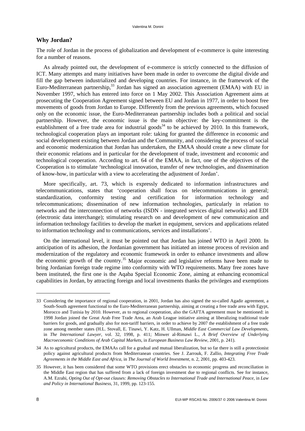#### **Why Jordan?**

The role of Jordan in the process of globalization and development of e-commerce is quite interesting for a number of reasons.

As already pointed out, the development of e-commerce is strictly connected to the diffusion of ICT. Many attempts and many initiatives have been made in order to overcome the digital divide and fill the gap between industrialized and developing countries. For instance, in the framework of the Euro-Mediterranean partnership,<sup>33</sup> Jordan has signed an association agreement (EMAA) with EU in November 1997, which has entered into force on 1 May 2002. This Association Agreement aims at prosecuting the Cooperation Agreement signed between EU and Jordan in 1977, in order to boost free movements of goods from Jordan to Europe. Differently from the previous agreements, which focused only on the economic issue, the Euro-Mediterranean partnership includes both a political and social partnership. However, the economic issue is the main objective: the key-commitment is the establishment of a free trade area for industrial goods<sup>34</sup> to be achieved by 2010. In this framework, technological cooperation plays an important role: taking for granted the difference in economic and social development existing between Jordan and the Community, and considering the process of social and economic modernization that Jordan has undertaken, the EMAA should create a new climate for their economic relations and in particular for the development of trade, investment and economic and technological cooperation. According to art. 64 of the EMAA, in fact, one of the objectives of the Cooperation is to stimulate 'technological innovation, transfer of new technologies, and dissemination of know-how, in particular with a view to accelerating the adjustment of Jordan'.

More specifically, art. 73, which is expressly dedicated to information infrastructures and telecommunications, states that 'cooperation shall focus on telecommunications in general; standardization, conformity testing and certification for information technology and telecommunications; dissemination of new information technologies, particularly in relation to networks and the interconnection of networks (ISDN - integrated services digital networks) and EDI (electronic data interchange); stimulating research on and development of new communication and information technology facilities to develop the market in equipment, services and applications related to information technology and to communications, services and installations'.

On the international level, it must be pointed out that Jordan has joined WTO in April 2000. In anticipation of its adhesion, the Jordanian government has initiated an intense process of revision and modernization of the regulatory and economic framework in order to enhance investments and allow the economic growth of the country.<sup>35</sup> Major economic and legislative reforms have been made to bring Jordanian foreign trade regime into conformity with WTO requirements. Many free zones have been instituted, the first one is the Aqaba Special Economic Zone, aiming at enhancing economical capabilities in Jordan, by attracting foreign and local investments thanks the privileges and exemptions

<sup>33</sup> Considering the importance of regional cooperation, in 2001, Jordan has also signed the so-called Agadir agreement, a South-South agreement functional to the Euro-Mediterranean partnership, aiming at creating a free trade area with Egypt, Morocco and Tunisia by 2010. However, as to regional cooperation, also the GAFTA agreement must be mentioned: in 1998 Jordan joined the Great Arab Free Trade Area, an Arab League initiative aiming at liberalizing traditional trade barriers for goods, and gradually also for non-tariff barriers, in order to achieve by 2007 the establishment of a free trade zone among member states (H.L. Stovall, E. Tinawi, Y. Katz, H. Ullman, *Middle East Commercial Law Developments*, in *The International Lawyer*, vol. 32, 1998, p. 411; Minwer al-Rimawi L., *A Brief Overview of Underlying Macroeconomic Conditions of Arab Capital Markets*, in *European Business Law Review*, 2001, p. 241).

<sup>34</sup> As to agricultural products, the EMAAs call for a gradual and mutual liberalization, but so far there is still a protectionist policy against agricultural products from Mediterranean countries. See J. Zarrouk, F. Zallio, *Integrating Free Trade Agreements in the Middle East and Africa*, in *The Journal of World Investment*, n. 2, 2001, pp. 403-423.

<sup>35</sup> However, it has been considered that some WTO provisions erect obstacles to economic progress and reconciliation in the Middle East region that has suffered from a lack of foreign investment due to regional conflicts. See for instance, A.M. Ezrahi, *Opting Out of Opt-out clauses: Removing Obstacles to International Trade and International Peace*, in *Law and Policy in International Business*, 31, 1999, pp. 123-155.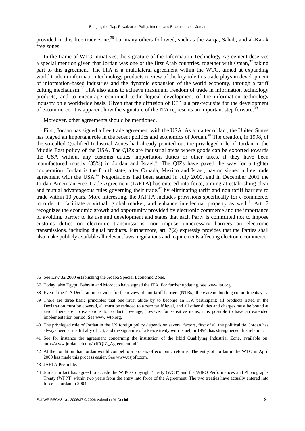provided in this free trade zone,<sup>36</sup> but many others followed, such as the Zarqa, Sahab, and al-Karak free zones.

In the frame of WTO initiatives, the signature of the Information Technology Agreement deserves a special mention given that Jordan was one of the first Arab countries, together with Oman,  $37$  taking part to this agreement. The ITA is a multilateral agreement within the WTO, aimed at expanding world trade in information technology products in view of the key role this trade plays in development of information-based industries and the dynamic expansion of the world economy, through a tariff cutting mechanism.38 ITA also aims to achieve maximum freedom of trade in information technology products, and to encourage continued technological development of the information technology industry on a worldwide basis. Given that the diffusion of ICT is a pre-requisite for the development of e-commerce, it is apparent how the signature of the ITA represents an important step forward.<sup>3</sup>

Moreover, other agreements should be mentioned.

First, Jordan has signed a free trade agreement with the USA. As a matter of fact, the United States has played an important role in the recent politics and economics of Jordan.<sup>40</sup> The creation, in 1998, of the so-called Qualified Industrial Zones had already pointed out the privileged role of Jordan in the Middle East policy of the USA. The QIZs are industrial areas where goods can be exported towards the USA without any customs duties, importation duties or other taxes, if they have been manufactured mostly  $(35%)$  in Jordan and Israel.<sup>41</sup> The QIZs have paved the way for a tighter cooperation: Jordan is the fourth state, after Canada, Mexico and Israel, having signed a free trade agreement with the USA.<sup>42</sup> Negotiations had been started in July 2000, and in December 2001 the Jordan-American Free Trade Agreement (JAFTA) has entered into force, aiming at establishing clear and mutual advantageous rules governing their trade,<sup>43</sup> by eliminating tariff and non tariff barriers to trade within 10 years. More interesting, the JAFTA includes provisions specifically for e-commerce, in order to facilitate a virtual, global market, and enhance intellectual property as well.<sup>44</sup> Art. 7 recognizes the economic growth and opportunity provided by electronic commerce and the importance of avoiding barrier to its use and development and states that each Party is committed not to impose customs duties on electronic transmissions, nor impose unnecessary barriers on electronic transmissions, including digital products. Furthermore, art. 7(2) expressly provides that the Parties shall also make publicly available all relevant laws, regulations and requirements affecting electronic commerce.

<sup>36</sup> See Law 32/2000 establishing the Aqaba Special Economic Zone.

<sup>37</sup> Today, also Egypt, Bahrain and Morocco have signed the ITA. For further updating, see [www.ita.org.](http://www.ita.org)

<sup>38</sup> Even if the ITA Declaration provides for the review of non-tariff barriers (NTBs), there are no binding commitments yet.

<sup>39</sup> There are three basic principles that one must abide by to become an ITA participant: all products listed in the Declaration must be covered, all must be reduced to a zero tariff level, and all other duties and charges must be bound at zero. There are no exceptions to product coverage, however for sensitive items, it is possible to have an extended implementation period. See [www.wto.org.](http://www.wto.org)

<sup>40</sup> The privileged role of Jordan in the US foreign policy depends on several factors, first of all the political tie. Jordan has always been a trustful ally of US, and the signature of a Peace treaty with Israel, in 1994, has strengthened this relation.

<sup>41</sup> See for instance the agreement concerning the institution of the Irbid Qualifying Industrial Zone, available on: [http://www.jordanecb.org/pdf/QIZ\\_Agreement.pdf.](http://www.jordanecb.org/pdf/QIZ_Agreement.pdf)

<sup>42</sup> At the condition that Jordan would compel to a process of economic reforms. The entry of Jordan in the WTO in April 2000 has made this process easier. See [www.usjoft.com.](http://www.usjoft.com) 

<sup>43</sup> JAFTA Preamble.

<sup>44</sup> Jordan in fact has agreed to accede the WIPO Copyright Treaty (WCT) and the WIPO Performances and Phonographs Treaty (WPPT) within two years from the entry into force of the Agreement. The two treaties have actually entered into force in Jordan in 2004.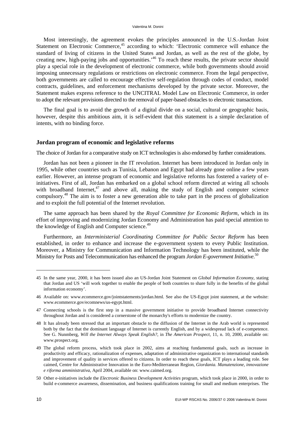Most interestingly, the agreement evokes the principles announced in the U.S.-Jordan Joint Statement on Electronic Commerce,<sup>45</sup> according to which: 'Electronic commerce will enhance the standard of living of citizens in the United States and Jordan, as well as the rest of the globe, by creating new, high-paying jobs and opportunities.<sup>46</sup> To reach these results, the private sector should play a special role in the development of electronic commerce, while both governments should avoid imposing unnecessary regulations or restrictions on electronic commerce. From the legal perspective, both governments are called to encourage effective self-regulation through codes of conduct, model contracts, guidelines, and enforcement mechanisms developed by the private sector. Moreover, the Statement makes express reference to the UNCITRAL Model Law on Electronic Commerce, in order to adopt the relevant provisions directed to the removal of paper-based obstacles to electronic transactions.

The final goal is to avoid the growth of a digital divide on a social, cultural or geographic basis, however, despite this ambitious aim, it is self-evident that this statement is a simple declaration of intents, with no binding force.

#### **Jordan program of economic and legislative reforms**

The choice of Jordan for a comparative study on ICT technologies is also endorsed by further considerations.

Jordan has not been a pioneer in the IT revolution. Internet has been introduced in Jordan only in 1995, while other countries such as Tunisia, Lebanon and Egypt had already gone online a few years earlier. However, an intense program of economic and legislative reforms has fostered a variety of einitiatives. First of all, Jordan has embarked on a global school reform directed at wiring all schools with broadband Internet, $47$  and above all, making the study of English and computer science compulsory.48 The aim is to foster a new generation able to take part in the process of globalization and to exploit the full potential of the Internet revolution.

The same approach has been shared by the *Royal Committee for Economic Reform*, which in its effort of improving and modernizing Jordan Economy and Administration has paid special attention to the knowledge of English and Computer science.<sup>49</sup>

Furthermore, an *Interministerial Coordinating Committee for Public Sector Reform* has been established, in order to enhance and increase the e-government system to every Public Institution. Moreover, a Ministry for Communication and Information Technology has been instituted, while the Ministry for Posts and Telecommunication has enhanced the program *Jordan E-government Initiative*. 50

<sup>45</sup> In the same year, 2000, it has been issued also an US-Jordan Joint Statement on *Global Information Economy*, stating that Jordan and US 'will work together to enable the people of both countries to share fully in the benefits of the global information economy'.

<sup>46</sup> Available on: [www.ecommerce.gov/jointstatements/jordan.html.](http://www.ecommerce.gov/jointstatements/jordan.html) See also the US-Egypt joint statement, at the website: [www.ecommerce.gov/ecomnews/us-egypt.html.](http://www.ecommerce.gov/ecomnews/us-egypt.html)

<sup>47</sup> Connecting schools is the first step in a massive government initiative to provide broadband Internet connectivity throughout Jordan and is considered a cornerstone of the monarchy's efforts to modernize the country.

<sup>48</sup> It has already been stressed that an important obstacle to the diffusion of the Internet in the Arab world is represented both by the fact that the dominant language of Internet is currently English, and by a widespread lack of e-competence. See G. Nunmberg, *Will the Internet Always Speak English?*, in *The American Prospect*, 11, n. 10, 2000, available on: [www.prospect.org.](http://www.prospect.org) 

<sup>49</sup> The global reform process, which took place in 2002, aims at reaching fundamental goals, such as increase in productivity and efficacy, rationalization of expenses, adaptation of administrative organization to international standards and improvement of quality in services offered to citizens. In order to reach these goals, ICT plays a leading role. See caimed, Centre for Administrative Innovation in the Euro-Mediterranean Region, *Giordania. Manutenzione, innovazione e riforma amministrativa*, April 2004, available on: [www.caimed.org.](http://www.caimed.org) 

<sup>50</sup> Other e-initiatives include the *Electronic Business Development Activities* program, which took place in 2000, in order to build e-commerce awareness, dissemination, and business qualifications training for small and medium enterprises. The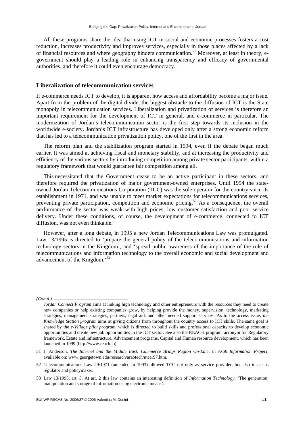All these programs share the idea that using ICT in social and economic processes fosters a cost reduction, increases productivity and improves services, especially in those places affected by a lack of financial resources and where geography hinders communication.<sup>51</sup> Moreover, at least in theory, egovernment should play a leading role in enhancing transparency and efficacy of governmental authorities, and therefore it could even encourage democracy.

#### **Liberalization of telecommunication services**

If e-commerce needs ICT to develop, it is apparent how access and affordability become a major issue. Apart from the problem of the digital divide, the biggest obstacle to the diffusion of ICT is the State monopoly in telecommunication services. Liberalization and privatization of services is therefore an important requirement for the development of ICT in general, and e-commerce in particular. The modernization of Jordan's telecommunication sector is the first step towards its inclusion in the worldwide e-society. Jordan's ICT infrastructure has developed only after a strong economic reform that has led to a telecommunication privatization policy, one of the first in the area.

The reform plan and the stabilization program started in 1994, even if the debate began much earlier. It was aimed at achieving fiscal and monetary stability, and at increasing the productivity and efficiency of the various sectors by introducing competition among private sector participants, within a regulatory framework that would guarantee fair competition among all.

This necessitated that the Government cease to be an active participant in these sectors, and therefore required the privatization of major government-owned enterprises. Until 1994 the stateowned Jordan Telecommunications Corporation (TCC) was the sole operator for the country since its establishment in 1971, and was unable to meet market expectations for telecommunications services, preventing private participation, competition and economic pricing.<sup>52</sup> As a consequence, the overall performance of the sector was weak with high prices, low customer satisfaction and poor service delivery. Under these conditions, of course, the development of e-commerce, connected to ICT diffusion, was not even thinkable.

However, after a long debate, in 1995 a new Jordan Telecommunications Law was promulgated. Law 13/1995 is directed to 'prepare the general policy of the telecommunications and information technology sectors in the Kingdom', and 'spread public awareness of the importance of the role of telecommunications and information technology to the overall economic and social development and advancement of the Kingdom.'<sup>53</sup>

*(Contd.)* 

*Jordan Connect Program* aims at linking high technology and other entrepreneurs with the resources they need to create new companies or help existing companies grow, by helping provide the money, supervision, technology, marketing strategies, management strategies, partners, legal aid, and other needed support services. As to the access issue, *the Knowledge Station program* aims at giving citizens from throughout the country access to ICT skills. The same goal is shared by the *e-Village pilot program*, which is directed to build skills and professional capacity to develop economic opportunities and create new job opportunities in the ICT sector. See also the REACH program, acronym for Regulatory framework, Estate and infrastructure, Advancement programs, Capital and Human resource development, which has been launched in 1999 [\(http://www.reach.jo\).](http://www.reach.jo) 

<sup>51</sup> J. Anderson, *The Internet and the Middle East: Commerce Brings Region On-Line*, in *Arab Information Project*, available on: [www.georgetown.edu/research/arabtech/meer97.htm.](http://www.georgetown.edu/research/arabtech/meer97.htm) 

<sup>52</sup> Telecommunications Law 29/1971 (amended in 1993) allowed TCC not only as service provider, but also to act as regulator and policymaker.

<sup>53</sup> Law 13/1995, art. 3. At art. 2 this law contains an interesting definition of *Information Technology*: 'The generation, manipulation and storage of information using electronic means'.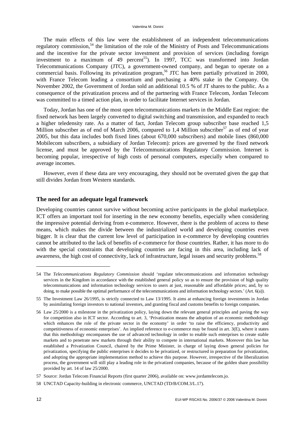The main effects of this law were the establishment of an independent telecommunications regulatory commission,<sup>54</sup> the limitation of the role of the Ministry of Posts and Telecommunications and the incentive for the private sector investment and provision of services (including foreign investment to a maximum of 49 percent<sup>55</sup>). In 1997, TCC was transformed into Jordan Telecommunications Company (JTC), a government-owned company, and began to operate on a commercial basis. Following its privatization program,<sup>56</sup> JTC has been partially privatized in 2000, with France Telecom leading a consortium and purchasing a 40% stake in the Company. On November 2002, the Government of Jordan sold an additional 10.5 % of JT shares to the public. As a consequence of the privatization process and of the partnering with France Telecom, Jordan Telecom was committed to a timed action plan, in order to facilitate Internet services in Jordan.

Today, Jordan has one of the most open telecommunications markets in the Middle East region: the fixed network has been largely converted to digital switching and transmission, and expanded to reach a higher teledensity rate. As a matter of fact, Jordan Telecom group subscriber base reached 1,5 Million subscriber as of end of March 2006, compared to 1,4 Million subscriber<sup>57</sup> as of end of year 2005, but this data includes both fixed lines (about 670,000 subscribers) and mobile lines (860,000 Mobilecom subscribers, a subsidiary of Jordan Telecom): prices are governed by the fixed network license, and must be approved by the Telecommunications Regulatory Commission. Internet is becoming popular, irrespective of high costs of personal computers, especially when compared to average incomes.

However, even if these data are very encouraging, they should not be overrated given the gap that still divides Jordan from Western standards.

#### **The need for an adequate legal framework**

Developing countries cannot survive without becoming active participants in the global marketplace. ICT offers an important tool for inserting in the new economy benefits, especially when considering the impressive potential deriving from e-commerce. However, there is the problem of access to these means, which makes the divide between the industrialized world and developing countries even bigger. It is clear that the current low level of participation in e-commerce by developing countries cannot be attributed to the lack of benefits of e-commerce for those countries. Rather, it has more to do with the special constraints that developing countries are facing in this area, including lack of awareness, the high cost of connectivity, lack of infrastructure, legal issues and security problems.<sup>58</sup>

<sup>54</sup> The *Telecommunications Regulatory Commission* should 'regulate telecommunications and information technology services in the Kingdom in accordance with the established general policy so as to ensure the provision of high quality telecommunications and information technology services to users at just, reasonable and affordable prices; and, by so doing, to make possible the optimal performance of the telecommunications and information technology sectors.' (Art. 6(a)).

<sup>55</sup> The Investment Law 26/1995, is strictly connected to Law 13/1995. It aims at enhancing foreign investments in Jordan by assimilating foreign investors to national investors, and granting fiscal and customs benefits to foreign companies.

<sup>56</sup> Law 25/2000 is a milestone in the privatization policy, laying down the relevant general principles and paving the way for competition also in ICT sector. According to art. 3, 'Privatization means the adoption of an economic methodology which enhances the role of the private sector in the economy' in order 'to raise the efficiency, productivity and competitiveness of economic enterprises'. An implied reference to e-commerce may be found in art.  $3(E)$ , where it states that this methodology encompasses the use of advanced technology in order to enable such enterprises to create stable markets and to penetrate new markets through their ability to compete in international markets. Moreover this law has established a Privatization Council, chaired by the Prime Minister, in charge of laying down general policies for privatization, specifying the public enterprises it decides to be privatized, or restructured in preparation for privatization, and adopting the appropriate implementation method to achieve this purpose. However, irrespective of the liberalization process, the government will still play a leading role in the privatized companies, because of the golden share possibility provided by art. 14 of law 25/2000.

<sup>57</sup> Source: Jordan Telecom Financial Reports (first quarter 2006), available on: [www.jordantelecom.jo.](http://www.jordantelecom.jo)

<sup>58</sup> UNCTAD Capacity-building in electronic commerce, UNCTAD (TD/B/COM.3/L.17).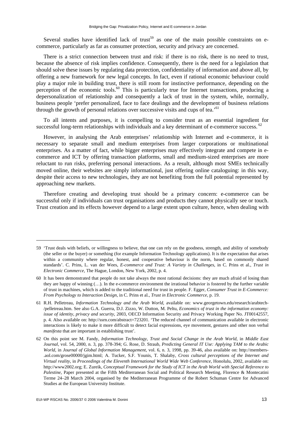Several studies have identified lack of trust<sup>59</sup> as one of the main possible constraints on ecommerce, particularly as far as consumer protection, security and privacy are concerned.

There is a strict connection between trust and risk: if there is no risk, there is no need to trust, because the absence of risk implies confidence. Consequently, there is the need for a legislation that should solve these issues by regulating data protection, confidentiality of information and above all, by offering a new framework for new legal concepts. In fact, even if rational economic behaviour could play a major role in building trust, there is still room for instinctive performance, depending on the perception of the economic tools.<sup>60</sup> This is particularly true for Internet transactions, producing a depersonalization of relationship and consequently a lack of trust in the system, while, normally, business people 'prefer personalized, face to face dealings and the development of business relations through the growth of personal relations over successive visits and cups of tea.<sup>'61</sup>

To all intents and purposes, it is compelling to consider trust as an essential ingredient for successful long-term relationships with individuals and a key determinant of e-commerce success. <sup>62</sup>

However, in analysing the Arab enterprises' relationship with Internet and e-commerce, it is necessary to separate small and medium enterprises from larger corporations or multinational enterprises. As a matter of fact, while bigger enterprises may effectively integrate and compete in ecommerce and ICT by offering transaction platforms, small and medium-sized enterprises are more reluctant to run risks, preferring personal interactions. As a result, although most SMEs technically moved online, their websites are simply informational, just offering online cataloguing: in this way, despite their access to new technologies, they are not benefiting from the full potential represented by approaching new markets.

Therefore creating and developing trust should be a primary concern: e-commerce can be successful only if individuals can trust organisations and products they cannot physically see or touch. Trust creation and its effects however depend to a large extent upon culture, hence, when dealing with

<sup>59 &#</sup>x27;Trust deals with beliefs, or willingness to believe, that one can rely on the goodness, strength, and ability of somebody (the seller or the buyer) or something (for example Information Technology applications). It is the expectation that arises within a community where regular, honest, and cooperative behaviour is the norm, based on commonly shared standards'. C. Prins, L. van der Wees, *E-commerce and Trust: A Variety in Challenges*, in C. Prins et al., *Trust in Electronic Commerce*, The Hague, London, New York, 2002, p. 4.

<sup>60</sup> It has been demonstrated that people do not take always the most rational decisions: they are much afraid of losing than they are happy of winning (…). In the e-commerce environment the irrational behavior is fostered by the further variable of trust in machines, which is added to the traditional need for trust in people. F. Egger, *Consumer Trust in E-Commerce: From Psychology to Interaction Design*, in C. Prins et al., *Trust in Electronic Commerce*, p. 19.

<sup>61</sup> R.H. Pelletreau, *Information Technology and the Arab World*, available on: [www.georgetown.edu/research/arabtech-](http://www.georgetown.edu/research/arabtech-/pelletreau.htm) [/pelletreau.htm.](http://www.georgetown.edu/research/arabtech-/pelletreau.htm) See also G.A. Guerra, D.J. Zizzo, W. Dutton, M. Peltu, *Economics of trust in the information economy: issue of identity, privacy and security*, 2003, OECD Information Security and Privacy Working Paper No. JT00142557, p. 4. Also available on: [http://ssrn.com/abstract=723201.](http://ssrn.com/abstract=723201) 'The reduced channel of communication available in electronic interactions is likely to make it more difficult to detect facial expressions, eye movement, gestures and other non verbal *manifesta* that are important in establishing trust'.

<sup>62</sup> On this point see M. Fandy, *Information Technology, Trust and Social Change in the Arab World*, in *Middle East Journal*, vol. 54, 2000, n. 3, pp. 378-394; G. Rose, D. Straub, *Predicting General IT Use: Applying TAM to the Arabic World*, in *Journal of Global Information Management*, vol. 6, n. 3, 1998, pp. 39-46, also available on: [http://members-](http://members-.aol.com/grose00000/jgim.html) [.aol.com/grose00000/jgim.html;](http://members-.aol.com/grose00000/jgim.html) A. Tucker, S.F. Younis, T. Shalaby, *Cross cultural perceptions of the Internet and Virtual reality*, in *Proceedings of the Eleventh International World Wide Web Conference*, Honolulu, 2002, available on: [http://www2002.org;](http://www2002.org) E. Zureik, *Conceptual Framework for the Study of ICT in the Arab World with Special Reference to Palestine*, Paper presented at the Fifth Mediterranean Social and Political Research Meeting, Florence & Montecatini Terme 24–28 March 2004, organised by the Mediterranean Programme of the Robert Schuman Centre for Advanced Studies at the European University Institute.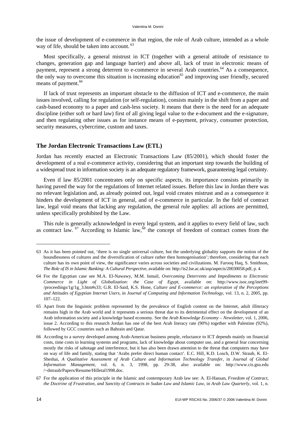the issue of development of e-commerce in that region, the role of Arab culture, intended as a whole way of life, should be taken into account.<sup>63</sup>

Most specifically, a general mistrust in ICT (together with a general attitude of resistance to changes, generation gap and language barrier) and above all, lack of trust in electronic means of payment, represent a strong deterrent to e-commerce in several Arab countries.<sup>64</sup> As a consequence, the only way to overcome this situation is increasing education<sup>65</sup> and improving user friendly, secured means of payment.<sup>66</sup>

If lack of trust represents an important obstacle to the diffusion of ICT and e-commerce, the main issues involved, calling for regulation (or self-regulation), consists mainly in the shift from a paper and cash-based economy to a paper and cash-less society. It means that there is the need for an adequate discipline (either soft or hard law) first of all giving legal value to the e-document and the e-signature, and then regulating other issues as for instance means of e-payment, privacy, consumer protection, security measures, cybercrime, custom and taxes.

#### **The Jordan Electronic Transactions Law (ETL)**

Jordan has recently enacted an Electronic Transactions Law (85/2001), which should foster the development of a real e-commerce activity, considering that an important step towards the building of a widespread trust in information society is an adequate regulatory framework, guaranteeing legal certainty.

Even if law 85/2001 concentrates only on specific aspects, its importance consists primarily in having paved the way for the regulations of Internet related issues. Before this law in Jordan there was no relevant legislation and, as already pointed out, legal void creates mistrust and as a consequence it hinders the development of ICT in general, and of e-commerce in particular. In the field of contract law, legal void means that lacking any regulation, the general rule applies: all actions are permitted, unless specifically prohibited by the Law.

This rule is generally acknowledged in every legal system, and it applies to every field of law, such as contract law.  $^{67}$  According to Islamic law,  $^{68}$  the concept of freedom of contract comes from the

<sup>63</sup> As it has been pointed out, 'there is no single universal culture, but the underlying globality supports the notion of the boundlessness of cultures and the diversification of culture rather then homogenisation'; therefore, considering that each culture has its own point of view, the significance varies across societies and civilizations. M. Farooq Haq, S. Smithson, *The Role of IS in Islamic Banking: A Cultural Perspective*, available on: [http://is2.lse.ac.uk/asp/aspecis/20030058.pdf,](http://is2.lse.ac.uk/asp/aspecis/20030058.pdf) p. 4.

<sup>64</sup> For the Egyptian case see M.A. El-Nawawy, M.M. Ismail, *Overcoming Deterrents and Impediments to Electronic Commerce in Light of Globalization: the Case of Egypt*, available on: [http://www.isoc.org/inet99-](http://www.isoc.org/inet99-/proceedings/1g/1g_3.htm#s33) [/proceedings/1g/1g\\_3.htm#s33;](http://www.isoc.org/inet99-/proceedings/1g/1g_3.htm#s33) G.R. El-Said, K.S. Hone, *Culture and E-commerce: an exploration of the Perceptions and Attitudes of Egyptian Internet Users*, in *Journal of Computing and Information Technology*, vol. 13, n. 2, 2005, pp. 107–122.

<sup>65</sup> Apart from the linguistic problem represented by the prevalence of English content on the Internet, adult illiteracy remains high in the Arab world and it represents a serious threat due to its detrimental effect on the development of an Arab information society and a knowledge based economy. See the *Arab Knowledge Economy – Newsletter*, vol. 1, 2006, issue 2. According to this research Jordan has one of the best Arab literacy rate (90%) together with Palestine (92%), followed by GCC countries such as Bahrain and Qatar.

<sup>66</sup> According to a survey developed among Arab-American business people, reluctance to ICT depends mainly on financial costs, time costs in learning systems and programs, lack of knowledge about computer use, and a general fear concerning mostly the risks of sabotage and interference, but it has also been drawn attention to the threat that computers may have on way of life and family, stating that 'Arabs prefer direct human contact'. E.C. Hill, K.D. Losch, D.W. Straub, K. El-Sheshai, *A Qualitative Assessment of Arab Culture and Information Technology Transfer*, in *Journal of Global Information Management*, vol. 6, n. 3, 1998, pp. 29-38, also available on: <http://www.cis.gsu.edu> /~dstraub/Papers/Resume/Hilletal1998.doc.

<sup>67</sup> For the application of this principle in the Islamic and contemporary Arab law see: A. El-Hassan, *Freedom of Contract, the Doctrine of Frustration, and Sanctity of Contracts in Sudan Law and Islamic Law*, in *Arab Law Quarterly*, vol. 1, n.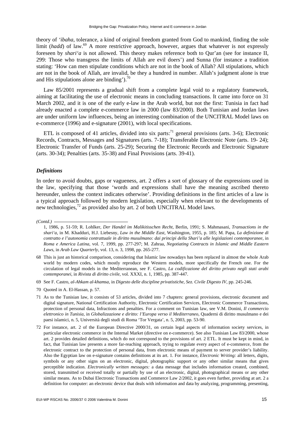theory of *'ibaha*, tolerance, a kind of original freedom granted from God to mankind, finding the sole limit (*hadd*) of law.<sup>69</sup> A more restrictive approach, however, argues that whatever is not expressly foreseen by *shari'a* is not allowed. This theory makes reference both to Qur'an (see for instance II, 299: Those who transgress the limits of Allah are evil doers') and Sunna (for instance a tradition stating: 'How can men stipulate conditions which are not in the book of Allah? All stipulations, which are not in the book of Allah, are invalid, be they a hundred in number. Allah's judgment alone is true and His stipulations alone are binding'). $^{70}$ 

Law 85/2001 represents a gradual shift from a complete legal void to a regulatory framework, aiming at facilitating the use of electronic means in concluding transactions. It came into force on 31 March 2002, and it is one of the early e-law in the Arab world, but not the first: Tunisia in fact had already enacted a complete e-commerce law in 2000 (law 83/2000). Both Tunisian and Jordan laws are under uniform law influences, being an interesting combination of the UNCITRAL Model laws on e-commerce (1996) and e-signature (2001), with local specifications.

ETL is composed of 41 articles, divided into six parts:<sup>71</sup> general provisions (arts. 3-6); Electronic Records, Contracts, Messages and Signatures (arts. 7-18); Transferable Electronic Note (arts. 19- 24); Electronic Transfer of Funds (arts. 25-29); Securing the Electronic Records and Electronic Signature (arts. 30-34); Penalties (arts. 35-38) and Final Provisions (arts. 39-41).

#### *Definitions*

In order to avoid doubts, gaps or vagueness, art. 2 offers a sort of glossary of the expressions used in the law, specifying that those 'words and expressions shall have the meaning ascribed thereto hereunder, unless the context indicates otherwise'. Providing definitions in the first articles of a law is a typical approach followed by modern legislation, especially when relevant to the developments of new technologies, $^{72}$  as provided also by art. 2 of both UNCITRAL Model laws.

- 69 See F. Castro, *al-Ahkam al-khamsa*, in *Digesto delle discipline privatistiche*, *Sez. Civile Digesto IV*, pp. 245-246.
- 70 Quoted in A. El-Hassan, p. 57.

*<sup>(</sup>Contd.)* 

<sup>1, 1986,</sup> p. 51-59; R. Lohlker, *Der Handel im Malikitisschen Recht*, Berlin, 1991; S. Mahmasani, *Transactions in the shari'a*, in M. Khadduri, H.J. Liebesny, *Law in the Middle East*, Washington, 1955, p. 185; M. Papa, *La definizione di contratto e l'autonomia contrattuale in diritto musulmano: dai principi della Shari'a alle legislazioni contemporanee*, in *Roma e America Latina*, vol. 7, 1999, pp. 277-297; M. Zahraa, *Negotiating Contracts in Islamic and Middle Eastern Laws*, in *Arab Law Quarterly*, vol. 13, n. 3, 1998, pp. 265-277.

<sup>68</sup> This is just an historical comparison, considering that Islamic law nowadays has been replaced in almost the whole Arab world by modern codes, which mostly reproduce the Western models, more specifically the French one. For the circulation of legal models in the Mediterranean, see F. Castro, *La codificazione del diritto privato negli stati arabi contemporanei*, in *Rivista di diritto civile*, vol. XXXI, n. 1, 1985, pp. 387-447.

<sup>71</sup> As to the Tunisian law, it consists of 53 articles, divided into 7 chapters: general provisions, electronic document and digital signature, National Certification Authority, Electronic Certification Services, Electronic Commerce Transactions, protection of personal data, Infractions and penalties. For a comment on Tunisian law, see V.M. Donini, *Il commercio elettronico in Tunisia*, in *Globalizzazione e diritto: l'Europa verso il Mediterraneo*, Quaderni di diritto musulmano e dei paesi islamici, n. 5, Università degli studi di Roma 'Tor Vergata', n. 5, 2003, pp. 53-90.

<sup>72</sup> For instance, art. 2 of the European Directive 2000/31, on certain legal aspects of information society services, in particular electronic commerce in the Internal Market (directive on e-commerce). See also Tunisian Law 83/2000, whose art. 2 provides detailed definitions, which do not correspond to the provisions of art. 2 ETL. It must be kept in mind, in fact, that Tunisian law presents a more far-reaching approach, trying to regulate every aspect of e-commerce, from the electronic contract to the protection of personal data, from electronic means of payment to server provider's liability. Also the Egyptian law on e-signature contains definitions at its art. 1. For instance, *Electronic Writing:* all letters, digits, symbols or any other signs on an electronic, digital, photographic support or any other similar means that gives perceptible indication. *Electronically written messages:* a data message that includes information created, combined, stored, transmitted or received totally or partially by use of an electronic, digital, photographical means or any other similar means. As to Dubai Electronic Transactions and Commerce Law 2/2002, it goes even further, providing at art. 2 a definition for computer: an electronic device that deals with information and data by analyzing, programming, presenting,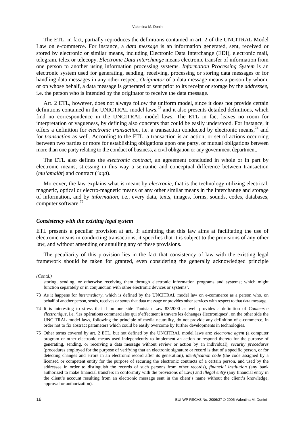The ETL, in fact, partially reproduces the definitions contained in art. 2 of the UNCITRAL Model Law on e-commerce. For instance, a *data message* is an information generated, sent, received or stored by electronic or similar means, including Electronic Data Interchange (EDI), electronic mail, telegram, telex or telecopy. *Electronic Data Interchange* means electronic transfer of information from one person to another using information processing systems. *Information Processing System* is an electronic system used for generating, sending, receiving, processing or storing data messages or for handling data messages in any other respect. *Originator* of a data message means a person by whom, or on whose behalf, a data message is generated or sent prior to its receipt or storage by the *addressee*, i.e. the person who is intended by the originator to receive the data message.

Art. 2 ETL, however, does not always follow the uniform model, since it does not provide certain definitions contained in the UNICTRAL model laws,<sup>73</sup> and it also presents detailed definitions, which find no correspondence in the UNCITRAL model laws. The ETL in fact leaves no room for interpretation or vagueness, by defining also concepts that could be easily understood. For instance, it offers a definition for *electronic transaction*, i.e. a transaction conducted by electronic means,74 and for *transaction* as well. According to the ETL, a transaction is an action, or set of actions occurring between two parties or more for establishing obligations upon one party, or mutual obligations between more than one party relating to the conduct of business, a civil obligation or any government department.

The ETL also defines the *electronic contract*, an agreement concluded in whole or in part by electronic means, stressing in this way a semantic and conceptual difference between transaction (*mu'amalàt*) and contract (*'aqd*).

Moreover, the law explains what is meant by *electronic*, that is the technology utilizing electrical, magnetic, optical or electro-magnetic means or any other similar means in the interchange and storage of information, and by *information*, i.e., every data, texts, images, forms, sounds, codes, databases, computer software.<sup>75</sup>

#### *Consistency with the existing legal system*

ETL presents a peculiar provision at art. 3: admitting that this law aims at facilitating the use of electronic means in conducting transactions, it specifies that it is subject to the provisions of any other law, and without amending or annulling any of these provisions.

The peculiarity of this provision lies in the fact that consistency of law with the existing legal framework should be taken for granted, even considering the generally acknowledged principle

*(Contd.)* 

storing, sending, or otherwise receiving them through electronic information programs and systems; which might function separately or in conjunction with other electronic devices or systems'.

<sup>73</sup> As it happens for *intermediary*, which is defined by the UNCITRAL model law on e-commerce as a person who, on behalf of another person, sends, receives or stores that data message or provides other services with respect to that data message.

<sup>74</sup> It is interesting to stress that if on one side Tunisian Law 83/2000 as well provides a definition of *Commerce électronique*, i.e. 'les opérations commerciales qui s'effectuent à travers les échanges électroniques', on the other side the UNCITRAL model laws, following the principle of media neutrality, do not provide any definition of e-commerce, in order not to fix abstract parameters which could be easily overcome by further developments in technologies.

<sup>75</sup> Other terms covered by art. 2 ETL, but not defined by the UNCITRAL model laws are: *electronic agent* (a computer program or other electronic means used independently to implement an action or respond thereto for the purpose of generating, sending, or receiving a data message without review or action by an individual), *security procedures*  (procedures employed for the purpose of verifying that an electronic signature or record is that of a specific person, or for detecting changes and errors in an electronic record after its generation), *identification code* (the code assigned by a licensed or competent entity for the purpose of securing the electronic contracts of a certain person, and used by the addressee in order to distinguish the records of such persons from other records), *financial institution* (any bank authorized to make financial transfers in conformity with the provisions of Law) and *illegal entry* (any financial entry in the client's account resulting from an electronic message sent in the client's name without the client's knowledge, approval or authorization).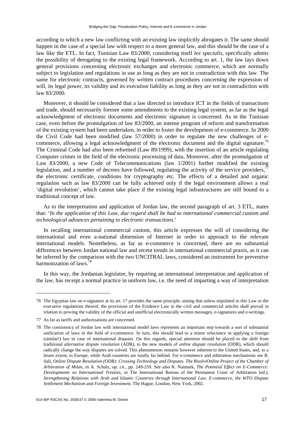according to which a new law conflicting with an existing law implicitly abrogates it. The same should happen in the case of a special law with respect to a more general law, and this should be the case of a law like the ETL. In fact, Tunisian Law 83/2000, considering itself *lex specialis*, specifically admits the possibility of derogating to the existing legal framework. According to art. 1, the law lays down general provisions concerning electronic exchanges and electronic commerce, which are normally subject to legislation and regulations in use as long as they are not in contradiction with this law. The same for electronic contracts, governed by written contract procedures concerning the expression of will, its legal power, its validity and its execution liability as long as they are not in contradiction with law 83/2000.

Moreover, it should be considered that a law directed to introduce ICT in the fields of transactions and trade, should necessarily foresee some amendments to the existing legal system, as far as the legal acknowledgment of electronic documents and electronic signature is concerned. As in the Tunisian case, even before the promulgation of law 83/2000, an intense program of reform and transformation of the existing system had been undertaken, in order to foster the development of e-commerce. In 2000 the Civil Code had been modified (law 57/2000) in order to regulate the new challenges of ecommerce, allowing a legal acknowledgment of the electronic document and the digital signature.<sup>76</sup> The Criminal Code had also been reformed (Law 89/1999), with the insertion of an article regulating Computer crimes in the field of the electronic processing of data. Moreover, after the promulgation of Law 83/2000, a new Code of Telecommunications (law 1/2001) further modified the existing legislation, and a number of decrees have followed, regulating the activity of the service providers, $77$ the electronic certificate, conditions for cryptography etc. The effects of a detailed and organic regulation such as law 83/2000 can be fully achieved only if the legal environment allows a real 'digital revolution', which cannot take place if the existing legal infrastructures are still bound to a traditional concept of law.

As to the interpretation and application of Jordan law, the second paragraph of art. 3 ETL, states that: '*In the application of this Law, due regard shall be had to international commercial custom and technological advances pertaining to electronic transactions*.'

In recalling international commercial custom, this article expresses the will of considering the international and even a-national dimension of Internet in order to approach to the relevant international models. Nonetheless, as far as e-commerce is concerned, there are no substantial differences between Jordan national law and recent trends in international commercial praxis, as it can be inferred by the comparison with the two UNCITRAL laws, considered an instrument for preventive harmonization of laws<sup>78</sup>

In this way, the Jordanian legislator, by requiring an international interpretation and application of the law, has receipt a normal practice in uniform law, i.e. the need of imparting a way of interpretation

<sup>76</sup> The Egyptian law on e-signature at its art. 17 provides the same principle, stating that unless stipulated in this Law or the executive regulations thereof, the provisions of the Evidence Law in the civil and commercial articles shall prevail in relation to proving the validity of the official and unofficial electronically written messages, e-signatures and e-writings.

<sup>77</sup> As far as tariffs and authorizations are concerned.

<sup>78</sup> The consistency of Jordan law with international model laws represents an important step towards a sort of substantial unification of laws in the field of e-commerce. In turn, this should lead to a minor reluctance in applying a foreign (similar!) law in case of international disputes. On this regards, special attention should be placed to the shift from traditional *alternative dispute resolution* (ADR), to the new models of *online dispute resolution* (ODR), which should radically change the way disputes are solved. This phenomenon remains however inherent to the United States, and, to a lesser extent, to Europe, while Arab countries are totally far behind. For e-commerce and arbitration mechanisms see R. Sali, *Online Dispute Resolution (ODR): Crossing Technology and Disputes. The RisolviOnline Project of the Chamber of Arbitration of Milan*, in A. Schulz, *op. cit.*, pp. 249-259. See also R. Naimark, *The Potential Effect on E-Commerce: Developments on International Treaties*, in The International Bureau of the Permanent Court of Arbitration (ed.), *Strengthening Relations with Arab and Islamic Countries through International Law. E-commerce, the WTO Dispute Settlement Mechanism and Foreign Investment*, The Hague, London, New York, 2002.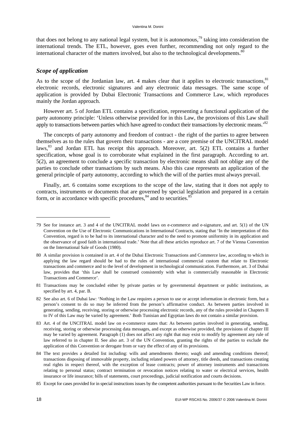that does not belong to any national legal system, but it is autonomous,<sup>79</sup> taking into consideration the international trends. The ETL, however, goes even further, recommending not only regard to the international character of the matters involved, but also to the technological developments.<sup>8</sup>

#### *Scope of application*

As to the scope of the Jordanian law, art. 4 makes clear that it applies to electronic transactions, $81$ electronic records, electronic signatures and any electronic data messages. The same scope of application is provided by Dubai Electronic Transactions and Commerce Law, which reproduces mainly the Jordan approach.

However art. 5 of Jordan ETL contains a specification, representing a functional application of the party autonomy principle: 'Unless otherwise provided for in this Law, the provisions of this Law shall apply to transactions between parties which have agreed to conduct their transactions by electronic means.<sup>82</sup>

The concepts of party autonomy and freedom of contract - the right of the parties to agree between themselves as to the rules that govern their transactions - are a core premise of the UNCITRAL model laws, $83$  and Jordan ETL has receipt this approach. Moreover, art.  $5(2)$  ETL contains a further specification, whose goal is to corroborate what explained in the first paragraph. According to art. 5(2), an agreement to conclude a specific transaction by electronic means shall not oblige any of the parties to conclude other transactions by such means. Also this case represents an application of the general principle of party autonomy, according to which the will of the parties must always prevail.

Finally, art. 6 contains some exceptions to the scope of the law, stating that it does not apply to contracts, instruments or documents that are governed by special legislation and prepared in a certain form, or in accordance with specific procedures,  $84$  and to securities.  $85$ 

<sup>79</sup> See for instance art. 3 and 4 of the UNCITRAL model laws on e-commerce and e-signature, and art. 5(1) of the UN Convention on the Use of Electronic Communications in International Contracts, stating that 'In the interpretation of this Convention, regard is to be had to its international character and to the need to promote uniformity in its application and the observance of good faith in international trade.' Note that all these articles reproduce art. 7 of the Vienna Convention on the International Sale of Goods (1980).

<sup>80</sup> A similar provision is contained in art. 4 of the Dubai Electronic Transactions and Commerce law, according to which in applying the law regard should be had to the rules of international commercial custom that relate to Electronic transactions and commerce and to the level of development in technological communication. Furthermore, art. 3 of Dubai law, provides that 'this Law shall be construed consistently with what is commercially reasonable in Electronic Transactions and Commerce'.

<sup>81</sup> Transactions may be concluded either by private parties or by governmental department or public institutions, as specified by art. 4, par. B.

<sup>82</sup> See also art. 6 of Dubai law: 'Nothing in the Law requires a person to use or accept information in electronic form, but a person's consent to do so may be inferred from the person's affirmative conduct. As between parties involved in generating, sending, receiving, storing or otherwise processing electronic records, any of the rules provided in Chapters II to IV of this Law may be varied by agreement.' Both Tunisian and Egyptian laws do not contain a similar provision.

<sup>83</sup> Art. 4 of the UNCITRAL model law on e-commerce states that: As between parties involved in generating, sending, receiving, storing or otherwise processing data messages, and except as otherwise provided, the provisions of chapter III may be varied by agreement. Paragraph (1) does not affect any right that may exist to modify by agreement any rule of law referred to in chapter II. See also art. 3 of the UN Convention, granting the rights of the parties to exclude the application of this Convention or derogate from or vary the effect of any of its provisions.

<sup>84</sup> The text provides a detailed list including: wills and amendments thereto; *waqfs* and amending conditions thereof; transactions disposing of immovable property, including related powers of attorney, title deeds, and transactions creating real rights in respect thereof, with the exception of lease contracts; power of attorney instruments and transactions relating to personal status; contract termination or revocation notices relating to water or electrical services, health insurance or life insurance; bills of statements, court proceedings, judicial notification and courts decisions.

<sup>85</sup> Except for cases provided for in special instructions issues by the competent authorities pursuant to the Securities Law in force.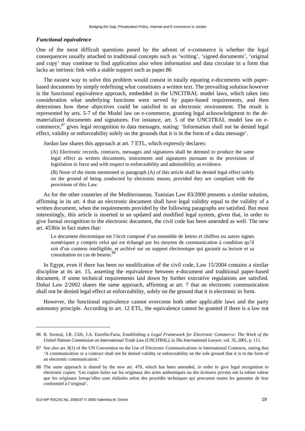#### *Functional equivalence*

One of the most difficult questions posed by the advent of e-commerce is whether the legal consequences usually attached to traditional concepts such as 'writing', 'signed documents', 'original and copy' may continue to find application also when information and data circulate in a form that lacks an intrinsic link with a stable support such as paper.86

The easiest way to solve this problem would consist in totally equating e-documents with paperbased documents by simply redefining what constitutes a written text. The prevailing solution however is the functional equivalence approach, embedded in the UNCITRAL model laws, which takes into consideration what underlying functions were served by paper-based requirements, and then determines how these objectives could be satisfied in an electronic environment. The result is represented by arts. 5-7 of the Model law on e-commerce, granting legal acknowledgment to the dematerialized documents and signatures. For instance, art. 5 of the UNCITRAL model law on ecommerce,87 gives legal recognition to data messages, stating: 'Information shall not be denied legal effect, validity or enforceability solely on the grounds that it is in the form of a data message'.

Jordan law shares this approach at art. 7 ETL, which expressly declares:

(A) Electronic records, contracts, messages and signatures shall be deemed to produce the same legal effect as written documents, instruments and signatures pursuant to the provisions of legislation in force and with respect to enforceability and admissibility as evidence.

(B) None of the items mentioned in paragraph (A) of this article shall be denied legal effect solely on the ground of being conducted by electronic means, provided they are compliant with the provisions of this Law.

As for the other countries of the Mediterranean, Tunisian Law 83/2000 presents a similar solution, affirming in its art. 4 that an electronic document shall have legal validity equal to the validity of a written document, when the requirements provided by the following paragraphs are satisfied. But most interestingly, this article is inserted in an updated and modified legal system, given that, in order to give formal recognition to the electronic document, the civil code has been amended as well. The new art. 453bis in fact states that:

Le document électronique est l'écrit composé d'un ensemble de lettres et chiffres ou autres signes numériques y compris celui qui est échangé par les moyens de communication à condition qu'il soit d'un contenu intelligible, et archivé sur un support électronique qui garantit sa lecture et sa consultation en cas de besoin.<sup>88</sup>

In Egypt, even if there has been no modification of the civil code, Law 15/2004 contains a similar discipline at its art. 15, asserting the equivalence between e-document and traditional paper-based document, if some technical requirements laid down by further executive regulations are satisfied. Dubai Law 2/2002 shares the same approach, affirming at art. 7 that an electronic communication shall not be denied legal effect or enforceability, solely on the ground that it is electronic in form.

However, the functional equivalence cannot overcome both other applicable laws and the party autonomy principle. According to art. 12 ETL, the equivalence cannot be granted if there is a law not

<sup>86</sup> R. Sorieul, J.R. Clift, J.A. Estrella-Faria, *Establishing a Legal Framework for Electronic Commerce: The Work of the United Nations Commission on International Trade Law (UNCITRAL)*, in *The International Lawyer*, vol. 35, 2001, p. 111.

<sup>87</sup> See also art. 8(1) of the UN Convention on the Use of Electronic Communications in International Contracts, stating that 'A communication or a contract shall not be denied validity or enforceability on the sole ground that it is in the form of an electronic communication.'

<sup>88</sup> The same approach is shared by the new art. 470, which has been amended, in order to give legal recognition to electronic copies: 'Les copies faites sur les originaux des actes authentiques ou des écritures privées ont la même valeur que les originaux lorsqu'elles sont réalisées selon des procédés techniques qui procurent toutes les garanties de leur conformité à l'original'.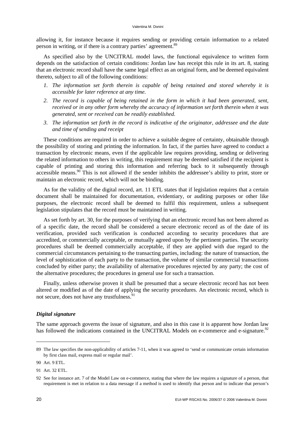allowing it, for instance because it requires sending or providing certain information to a related person in writing, or if there is a contrary parties' agreement.<sup>89</sup>

As specified also by the UNCITRAL model laws, the functional equivalence to written form depends on the satisfaction of certain conditions: Jordan law has receipt this rule in its art. 8, stating that an electronic record shall have the same legal effect as an original form, and be deemed equivalent thereto, subject to all of the following conditions:

- *1. The information set forth therein is capable of being retained and stored whereby it is accessible for later reference at any time.*
- *2. The record is capable of being retained in the form in which it had been generated, sent, received or in any other form whereby the accuracy of information set forth therein when it was generated, sent or received can be readily established.*
- *3. The information set forth in the record is indicative of the originator, addressee and the date and time of sending and receipt*

These conditions are required in order to achieve a suitable degree of certainty, obtainable through the possibility of storing and printing the information. In fact, if the parties have agreed to conduct a transaction by electronic means, even if the applicable law requires providing, sending or delivering the related information to others in writing, this requirement may be deemed satisfied if the recipient is capable of printing and storing this information and referring back to it subsequently through accessible means.<sup>90</sup> This is not allowed if the sender inhibits the addressee's ability to print, store or maintain an electronic record, which will not be binding.

As for the validity of the digital record, art. 11 ETL states that if legislation requires that a certain document shall be maintained for documentation, evidentiary, or auditing purposes or other like purposes, the electronic record shall be deemed to fulfil this requirement, unless a subsequent legislation stipulates that the record must be maintained in writing.

As set forth by art. 30, for the purposes of verifying that an electronic record has not been altered as of a specific date, the record shall be considered a secure electronic record as of the date of its verification, provided such verification is conducted according to security procedures that are accredited, or commercially acceptable, or mutually agreed upon by the pertinent parties. The security procedures shall be deemed commercially acceptable, if they are applied with due regard to the commercial circumstances pertaining to the transacting parties, including: the nature of transaction, the level of sophistication of each party to the transaction, the volume of similar commercial transactions concluded by either party; the availability of alternative procedures rejected by any party; the cost of the alternative procedures; the procedures in general use for such a transaction.

Finally, unless otherwise proven it shall be presumed that a secure electronic record has not been altered or modified as of the date of applying the security procedures. An electronic record, which is not secure, does not have any trustfulness.<sup>9</sup>

#### *Digital signature*

The same approach governs the issue of signature, and also in this case it is apparent how Jordan law has followed the indications contained in the UNCITRAL Models on e-commerce and e-signature.<sup>92</sup>

<sup>89</sup> The law specifies the non-applicability of articles 7-11, when it was agreed to 'send or communicate certain information by first class mail, express mail or regular mail'.

<sup>90</sup> Art. 9 ETL.

<sup>91</sup> Art. 32 ETL.

<sup>92</sup> See for instance art. 7 of the Model Law on e-commerce, stating that where the law requires a signature of a person, that requirement is met in relation to a data message if a method is used to identify that person and to indicate that person's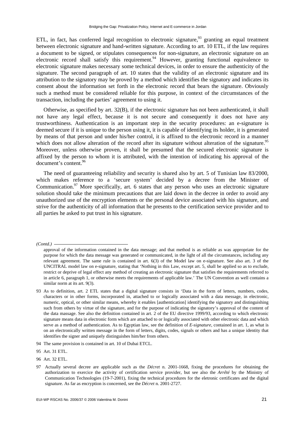ETL, in fact, has conferred legal recognition to electronic signature,  $^{93}$  granting an equal treatment between electronic signature and hand-written signature. According to art. 10 ETL, if the law requires a document to be signed, or stipulates consequences for non-signature, an electronic signature on an electronic record shall satisfy this requirement. <sup>94</sup> However, granting functional equivalence to electronic signature makes necessary some technical devices, in order to ensure the authenticity of the signature. The second paragraph of art. 10 states that the validity of an electronic signature and its attribution to the signatory may be proved by a method which identifies the signatory and indicates its consent about the information set forth in the electronic record that bears the signature. Obviously such a method must be considered reliable for this purpose, in context of the circumstances of the transaction, including the parties' agreement to using it.

Otherwise, as specified by art. 32(B), if the electronic signature has not been authenticated, it shall not have any legal effect, because it is not secure and consequently it does not have any trustworthiness. Authentication is an important step in the security procedures: an e-signature is deemed secure if it is unique to the person using it, it is capable of identifying its holder, it is generated by means of that person and under his/her control, it is affixed to the electronic record in a manner which does not allow alteration of the record after its signature without alteration of the signature.<sup>95</sup> Moreover, unless otherwise proven, it shall be presumed that the secured electronic signature is affixed by the person to whom it is attributed, with the intention of indicating his approval of the document's content.<sup>96</sup>

The need of guaranteeing reliability and security is shared also by art. 5 of Tunisian law 83/2000, which makes reference to a 'secure system' decided by a decree from the Minister of Communication.<sup>97</sup> More specifically, art. 6 states that any person who uses an electronic signature solution should take the minimum precautions that are laid down in the decree in order to avoid any unauthorized use of the encryption elements or the personal device associated with his signature, and strive for the authenticity of all information that he presents to the certification service provider and to all parties he asked to put trust in his signature.

*(Contd.)* 

approval of the information contained in the data message; and that method is as reliable as was appropriate for the purpose for which the data message was generated or communicated, in the light of all the circumstances, including any relevant agreement. The same rule is contained in art. 6(3) of the Model law on e-signature. See also art. 3 of the UNCITRAL model law on e-signature, stating that 'Nothing in this Law, except art. 5, shall be applied so as to exclude, restrict or deprive of legal effect any method of creating an electronic signature that satisfies the requirements referred to in article 6, paragraph 1, or otherwise meets the requirements of applicable law.' The UN Convention as well contains a similar norm at its art. 9(3).

<sup>93</sup> As to definition, art. 2 ETL states that a digital signature consists in 'Data in the form of letters, numbers, codes, characters or in other forms, incorporated in, attached to or logically associated with a data message, in electronic, numeric, optical, or other similar means, whereby it enables [authentication] identifying the signatory and distinguishing such from others by virtue of the signature, and for the purpose of indicating the signatory's approval of the content of the data massage. See also the definition contained in art. 2 of the EU directive 1999/93, according to which electronic signature means data in electronic form which are attached to or logically associated with other electronic data and which serve as a method of authentication. As to Egyptian law, see the definition of *E-signature*, contained in art. 1, as what is on an electronically written message in the form of letters, digits, codes, signals or others and has a unique identity that identifies the signer and uniquely distinguishes him/her from others.

<sup>94</sup> The same provision is contained in art. 10 of Dubai ETCL.

<sup>95</sup> Art. 31 ETL.

<sup>96</sup> Art. 32 ETL.

<sup>97</sup> Actually several decree are applicable such as the *Décret* n. 2001-1668, fixing the procedures for obtaining the authorization to exercice the activity of certification service provider, but see also the *Arrêté* by the Ministry of Communication Technologies (19-7-2001), fixing the technical procedures for the eletronic certificates and the digital signature. As far as encryption is concerned, see the *Décret* n. 2001-2727.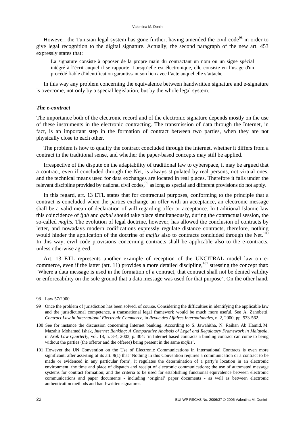However, the Tunisian legal system has gone further, having amended the civil code<sup>98</sup> in order to give legal recognition to the digital signature. Actually, the second paragraph of the new art. 453 expressly states that:

La signature consiste à opposer de la propre main du contractant un nom ou un signe spécial intégré à l'écrit auquel il se rapporte. Lorsqu'elle est électronique, elle consiste en l'usage d'un procédé fiable d'identification garantissant son lien avec l'acte auquel elle s'attache.

In this way any problem concerning the equivalence between handwritten signature and e-signature is overcome, not only by a special legislation, but by the whole legal system.

#### *The e-contract*

The importance both of the electronic record and of the electronic signature depends mostly on the use of these instruments in the electronic contracting. The transmission of data through the Internet, in fact, is an important step in the formation of contract between two parties, when they are not physically close to each other.

The problem is how to qualify the contract concluded through the Internet, whether it differs from a contract in the traditional sense, and whether the paper-based concepts may still be applied.

Irrespective of the dispute on the adaptability of traditional law to cyberspace, it may be argued that a contract, even if concluded through the Net, is always stipulated by real persons, not virtual ones, and the technical means used for data exchanges are located in real places. Therefore it falls under the relevant discipline provided by national civil codes,<sup>99</sup> as long as special and different provisions do not apply.

In this regard, art. 13 ETL states that for contractual purposes, conforming to the principle that a contract is concluded when the parties exchange an offer with an acceptance, an electronic message shall be a valid mean of declaration of will regarding offer or acceptance. In traditional Islamic law this coincidence of *ijab* and *qabul* should take place simultaneously, during the contractual session, the so-called *majlis.* The evolution of legal doctrine, however, has allowed the conclusion of contracts by letter, and nowadays modern codifications expressly regulate distance contracts, therefore, nothing would hinder the application of the doctrine of *majlis* also to contracts concluded through the Net.<sup>100</sup> In this way, civil code provisions concerning contracts shall be applicable also to the e-contracts, unless otherwise agreed.

Art. 13 ETL represents another example of reception of the UNCITRAL model law on ecommerce, even if the latter (art. 11) provides a more detailed discipline, $101$  stressing the concept that: 'Where a data message is used in the formation of a contract, that contract shall not be denied validity or enforceability on the sole ground that a data message was used for that purpose'. On the other hand,

<sup>98</sup> Law 57/2000.

<sup>99</sup> Once the problem of jurisdiction has been solved, of course. Considering the difficulties in identifying the applicable law and the jurisdictional competence, a transnational legal framework would be much more useful. See A. Zanobetti, *Contract Law in International Electronic Commerce*, in *Revue des Affaires Internationales*, n. 2, 2000, pp. 533-562.

<sup>100</sup> See for instance the discussion concerning Internet banking. According to S. Jawahitha, N. Raihan Ab Hamid, M. Mazahir Mohamed Ishak, *Internet Banking: A Comparative Analysis of Legal and Regulatory Framework in Malaysia*, in *Arab Law Quarterly*, vol. 18, n. 3-4, 2003, p. 304: 'in Internet based contracts a binding contract can come to being without the parties (the offeror and the offeree) being present in the same *majlis*'.

<sup>101</sup> However the UN Convention on the Use of Electronic Communications in International Contracts is even more significant: after asserting at its art. 9(1) that 'Nothing in this Convention requires a communication or a contract to be made or evidenced in any particular form', it regulates the determination of a party's location in an electronic environment; the time and place of dispatch and receipt of electronic communications; the use of automated message systems for contract formation; and the criteria to be used for establishing functional equivalence between electronic communications and paper documents - including 'original' paper documents - as well as between electronic authentication methods and hand-written signatures.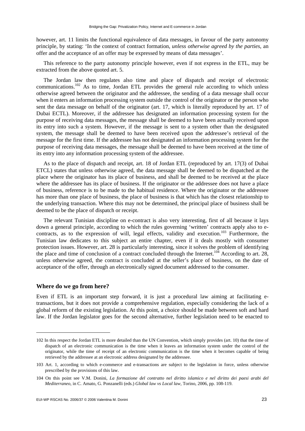however, art. 11 limits the functional equivalence of data messages, in favour of the party autonomy principle, by stating: 'In the context of contract formation, *unless otherwise agreed by the parties*, an offer and the acceptance of an offer may be expressed by means of data messages'.

This reference to the party autonomy principle however, even if not express in the ETL, may be extracted from the above quoted art. 5.

The Jordan law then regulates also time and place of dispatch and receipt of electronic communications.102 As to time, Jordan ETL provides the general rule according to which unless otherwise agreed between the originator and the addressee, the sending of a data message shall occur when it enters an information processing system outside the control of the originator or the person who sent the data message on behalf of the originator (art. 17, which is literally reproduced by art. 17 of Dubai ECTL). Moreover, if the addressee has designated an information processing system for the purpose of receiving data messages, the message shall be deemed to have been actually received upon its entry into such a system. However, if the message is sent to a system other than the designated system, the message shall be deemed to have been received upon the addressee's retrieval of the message for the first time. If the addressee has not designated an information processing system for the purpose of receiving data messages, the message shall be deemed to have been received at the time of its entry into any information processing system of the addressee.

As to the place of dispatch and receipt, art. 18 of Jordan ETL (reproduced by art. 17(3) of Dubai ETCL) states that unless otherwise agreed, the data message shall be deemed to be dispatched at the place where the originator has its place of business, and shall be deemed to be received at the place where the addressee has its place of business. If the originator or the addressee does not have a place of business, reference is to be made to the habitual residence. Where the originator or the addressee has more than one place of business, the place of business is that which has the closest relationship to the underlying transaction. Where this may not be determined, the principal place of business shall be deemed to be the place of dispatch or receipt.

The relevant Tunisian discipline on e-contract is also very interesting, first of all because it lays down a general principle, according to which the rules governing 'written' contracts apply also to econtracts, as to the expression of will, legal effects, validity and execution.<sup>103</sup> Furthermore, the Tunisian law dedicates to this subject an entire chapter, even if it deals mostly with consumer protection issues. However, art. 28 is particularly interesting, since it solves the problem of identifying the place and time of conclusion of a contract concluded through the Internet.<sup>104</sup> According to art. 28, unless otherwise agreed, the contract is concluded at the seller's place of business, on the date of acceptance of the offer, through an electronically signed document addressed to the consumer.

#### **Where do we go from here?**

1

Even if ETL is an important step forward, it is just a procedural law aiming at facilitating etransactions, but it does not provide a comprehensive regulation, especially considering the lack of a global reform of the existing legislation. At this point, a choice should be made between soft and hard law. If the Jordan legislator goes for the second alternative, further legislation need to be enacted to

<sup>102</sup> In this respect the Jordan ETL is more detailed than the UN Convention, which simply provides (art. 10) that the time of dispatch of an electronic communication is the time when it leaves an information system under the control of the originator, while the time of receipt of an electronic communication is the time when it becomes capable of being retrieved by the addressee at an electronic address designated by the addressee.

<sup>103</sup> Art. 1, according to which e-commerce and e-transactions are subject to the legislation in force, unless otherwise prescribed by the provisions of this law.

<sup>104</sup> On this point see V.M. Donini, *La formazione del contratto nel diritto islamico e nel diritto dei paesi arabi del Mediterraneo*, in C. Amato, G. Ponzanelli (eds.) *Global law vs Local law*, Torino, 2006, pp. 108-119.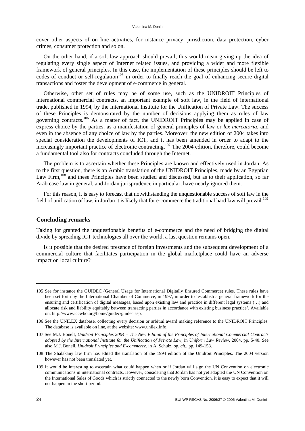cover other aspects of on line activities, for instance privacy, jurisdiction, data protection, cyber crimes, consumer protection and so on.

On the other hand, if a soft law approach should prevail, this would mean giving up the idea of regulating every single aspect of Internet related issues, and providing a wider and more flexible framework of general principles. In this case, the implementation of these principles should be left to codes of conduct or self-regulation<sup>105</sup> in order to finally reach the goal of enhancing secure digital transactions and foster the development of e-commerce in general.

Otherwise, other set of rules may be of some use, such as the UNIDROIT Principles of international commercial contracts, an important example of soft law, in the field of international trade, published in 1994, by the International Institute for the Unification of Private Law. The success of these Principles is demonstrated by the number of decisions applying them as rules of law governing contracts.<sup>106</sup> As a matter of fact, the UNIDROIT Principles may be applied in case of express choice by the parties, as a manifestation of general principles of law or *lex mercatoria*, and even in the absence of any choice of law by the parties. Moreover, the new edition of 2004 takes into special consideration the developments of ICT, and it has been amended in order to adapt to the increasingly important practice of electronic contracting.<sup>107</sup> The 2004 edition, therefore, could become a fundamental tool also for contracts concluded through the Internet.

The problem is to ascertain whether these Principles are known and effectively used in Jordan. As to the first question, there is an Arabic translation of the UNIDROIT Principles, made by an Egyptian Law Firm,<sup>108</sup> and these Principles have been studied and discussed, but as to their application, so far Arab case law in general, and Jordan jurisprudence in particular, have nearly ignored them.

For this reason, it is easy to forecast that notwithstanding the unquestionable success of soft law in the field of unification of law, in Jordan it is likely that for e-commerce the traditional hard law will prevail.<sup>109</sup>

#### **Concluding remarks**

Taking for granted the unquestionable benefits of e-commerce and the need of bridging the digital divide by spreading ICT technologies all over the world, a last question remains open.

Is it possible that the desired presence of foreign investments and the subsequent development of a commercial culture that facilitates participation in the global marketplace could have an adverse impact on local culture?

<sup>105</sup> See for instance the GUIDEC (General Usage for International Digitally Ensured Commerce) rules. These rules have been set forth by the International Chamber of Commerce, in 1997, in order to 'establish a general framework for the ensuring and certification of digital messages, based upon existing law and practice in different legal systems (…) and allocate risk and liability equitably between transacting parties in accordance with existing business practice'. Available on: [http://www.iccwbo.org/home/guidec/guidec.asp.](http://www.iccwbo.org/home/guidec/guidec.asp)

<sup>106</sup> See the UNILEX database, collecting every decision or arbitral award making reference to the UNIDROIT Principles. The database is available on line, at the website: [www.unilex.info.](http://www.unilex.info)

<sup>107</sup> See M.J. Bonell, *Unidroit Principles 2004 – The New Edition of the Principles of International Commercial Contracts adopted by the International Institute for the Unification of Private Law*, in *Uniform Law Review*, 2004, pp. 5-40. See also M.J. Bonell, *Unidroit Principles and E-commerce*, in A. Schulz, *op. cit.*, pp. 149-158.

<sup>108</sup> The Shalakany law firm has edited the translation of the 1994 edition of the Unidroit Principles. The 2004 version however has not been translated yet.

<sup>109</sup> It would be interesting to ascertain what could happen when or if Jordan will sign the UN Convention on electronic communications in international contracts. However, considering that Jordan has not yet adopted the UN Convention on the International Sales of Goods which is strictly connected to the newly born Convention, it is easy to expect that it will not happen in the short period.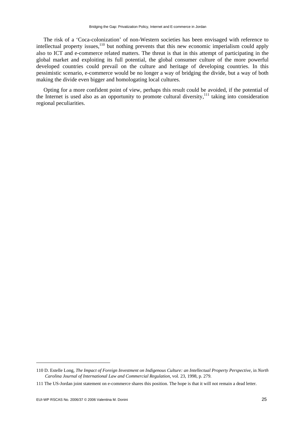The risk of a 'Coca-colonization' of non-Western societies has been envisaged with reference to intellectual property issues, $110$  but nothing prevents that this new economic imperialism could apply also to ICT and e-commerce related matters. The threat is that in this attempt of participating in the global market and exploiting its full potential, the global consumer culture of the more powerful developed countries could prevail on the culture and heritage of developing countries. In this pessimistic scenario, e-commerce would be no longer a way of bridging the divide, but a way of both making the divide even bigger and homologating local cultures.

Opting for a more confident point of view, perhaps this result could be avoided, if the potential of the Internet is used also as an opportunity to promote cultural diversity,<sup>111</sup> taking into consideration regional peculiarities.

-

<sup>110</sup> D. Estelle Long, *The Impact of Foreign Investment on Indigenous Culture: an Intellectual Property Perspective*, in *North Carolina Journal of International Law and Commercial Regulation,* vol. 23, 1998, p. 279.

<sup>111</sup> The US-Jordan joint statement on e-commerce shares this position. The hope is that it will not remain a dead letter.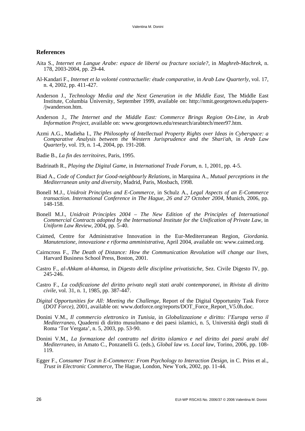#### **References**

- Aita S., *Internet en Langue Arabe: espace de liberté ou fracture sociale?*, in *Maghreb-Machrek*, n. 178, 2003-2004, pp. 29-44.
- Al-Kandari F., *Internet et la volonté contractuelle: étude comparative*, in *Arab Law Quarterly*, vol. 17, n. 4, 2002, pp. 411-427.
- Anderson J., *Technology Media and the Next Generation in the Middle East*, The Middle East Institute, Columbia University, September 1999, available on: [http://nmit.georgetown.edu/papers-](http://nmit.georgetown.edu/papers-/jwanderson.htm) [/jwanderson.htm.](http://nmit.georgetown.edu/papers-/jwanderson.htm)
- Anderson J., *The Internet and the Middle East: Commerce Brings Region On-Line*, in *Arab Information Project*, available on: [www.georgetown.edu/research/arabtech/meer97.htm.](http://www.georgetown.edu/research/arabtech/meer97.htm)
- Azmi A.G., Madieha I., *The Philosophy of Intellectual Property Rights over Ideas in Cyberspace: a Comparative Analysis between the Western Jurisprudence and the Shari'ah*, in *Arab Law Quarterly*, vol. 19, n. 1-4, 2004, pp. 191-208.
- Badie B., *La fin des territoires*, Paris, 1995.
- Badrinath R., *Playing the Digital Game*, in *International Trade Forum*, n. 1, 2001, pp. 4-5.
- Biad A., *Code of Conduct for Good-neighbourly Relations*, in Marquina A., *Mutual perceptions in the Mediterranean unity and diversity*, Madrid, Paris, Mosbach, 1998.
- Bonell M.J., *Unidroit Principles and E-Commerce*, in Schulz A., *Legal Aspects of an E-Commerce transaction. International Conference in The Hague, 26 and 27 October 2004*, Munich, 2006, pp. 148-158.
- Bonell M.J., *Unidroit Principles 2004 The New Edition of the Principles of International Commercial Contracts adopted by the International Institute for the Unification of Private Law*, in *Uniform Law Review*, 2004, pp. 5-40.
- Caimed, Centre for Administrative Innovation in the Eur-Mediterranean Region, *Giordania. Manutenzione, innovazione e riforma amministrativa*, April 2004, available on: [www.caimed.org.](http://www.caimed.org)
- Cairncross F., *The Death of Distance: How the Communication Revolution will change our lives*, Harvard Business School Press, Boston, 2001.
- Castro F., *al-Ahkam al-khamsa*, in *Digesto delle discipline privatistiche*, Sez. Civile Digesto IV, pp. 245-246.
- Castro F., *La codificazione del diritto privato negli stati arabi contemporanei*, in *Rivista di diritto civile*, vol. 31, n. 1, 1985, pp. 387-447.
- *Digital Opportunities for All: Meeting the Challenge,* Report of the Digital Opportunity Task Force (*DOT Force)*, 2001, available on: [www.dotforce.org/reports/DOT\\_Force\\_Report\\_V5.0h.doc.](http://www.dotforce.org/reports/DOT_Force_Report_V5.0h.doc)
- Donini V.M., *Il commercio elettronico in Tunisia*, in *Globalizzazione e diritto: l'Europa verso il Mediterraneo*, Quaderni di diritto musulmano e dei paesi islamici, n. 5, Università degli studi di Roma 'Tor Vergata', n. 5, 2003, pp. 53-90.
- Donini V.M., *La formazione del contratto nel diritto islamico e nel diritto dei paesi arabi del Mediterraneo*, in Amato C., Ponzanelli G. (eds.), *Global law vs. Local law*, Torino, 2006, pp. 108- 119.
- Egger F., *Consumer Trust in E-Commerce: From Psychology to Interaction Design*, in C. Prins et al., *Trust in Electronic Commerce*, The Hague, London, New York, 2002, pp. 11-44.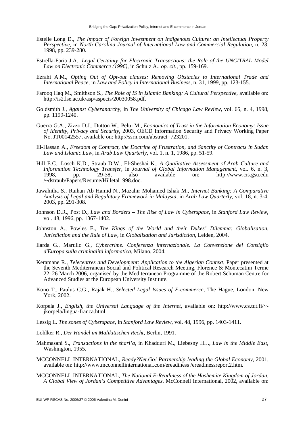- Estelle Long D., *The Impact of Foreign Investment on Indigenous Culture: an Intellectual Property Perspective*, in *North Carolina Journal of International Law and Commercial Regulation*, n. 23, 1998, pp. 239-280.
- Estrella-Faria J.A., *Legal Certainty for Electronic Transactions: the Role of the UNCITRAL Model Law on Electronic Commerce (1996)*, in Schulz A., *op. cit.*, pp. 159-169.
- Ezrahi A.M., *Opting Out of Opt-out clauses: Removing Obstacles to International Trade and International Peace*, in *Law and Policy in International Business*, n. 31, 1999, pp. 123-155.
- Farooq Haq M., Smithson S., *The Role of IS in Islamic Banking: A Cultural Perspective*, available on: [http://is2.lse.ac.uk/asp/aspecis/20030058.pdf.](http://is2.lse.ac.uk/asp/aspecis/20030058.pdf)
- Goldsmith J., *Against Cyberanarchy*, in *The University of Chicago Law Review*, vol. 65, n. 4, 1998, pp. 1199-1240.
- Guerra G.A., Zizzo D.J., Dutton W., Peltu M., *Economics of Trust in the Information Economy: Issue of Identity, Privacy and Security*, 2003, OECD Information Security and Privacy Working Paper No. JT00142557, available on: [http://ssrn.com/abstract=723201.](http://ssrn.com/abstract=723201)
- El-Hassan A., *Freedom of Contract, the Doctrine of Frustration, and Sanctity of Contracts in Sudan Law and Islamic Law*, in *Arab Law Quarterly*, vol. 1, n. 1, 1986, pp. 51-59.
- Hill E.C., Losch K.D., Straub D.W., El-Sheshai K., *A Qualitative Assessment of Arab Culture and Information Technology Transfer*, in *Journal of Global Information Management*, vol. 6, n. 3, 1998, pp. 29-38, also available on: <http://www.cis.gsu.edu> /~dstraub/Papers/Resume/Hilletal1998.doc.
- Jawahitha S., Raihan Ab Hamid N., Mazahir Mohamed Ishak M., *Internet Banking: A Comparative Analysis of Legal and Regulatory Framework in Malaysia*, in *Arab Law Quarterly*, vol. 18, n. 3-4, 2003, pp. 291-308.
- Johnson D.R., Post D., *Law and Borders The Rise of Law in Cyberspace*, in *Stanford Law Review*, vol. 48, 1996, pp. 1367-1402.
- Johnston A., Powles E., *The Kings of the World and their Dukes' Dilemma: Globalisation, Jurisdiction and the Rule of Law*, in *Globalisation and Jurisdiction*, Leiden, 2004.
- Ilarda G., Marullo G., *Cybercrime. Conferenza internazionale. La Convenzione del Consiglio d'Europa sulla criminalità informatica*, Milano, 2004.
- Keramane R., *Telecentres and Development: Application to the Algerian Context*, Paper presented at the Seventh Mediterranean Social and Political Research Meeting, Florence & Montecatini Terme 22–26 March 2006, organised by the Mediterranean Programme of the Robert Schuman Centre for Advanced Studies at the European University Institute.
- Kono T., Paulus C.G., Rajak H., *Selected Legal Issues of E-commerce*, The Hague, London, New York, 2002.
- Korpela J., *English, the Universal Language of the Internet*, available on: [http://www.cs.tut.fi/~](http://www.cs.tut.fi/~-jkorpela/lingua-franca.html) [jkorpela/lingua-franca.html.](http://www.cs.tut.fi/~-jkorpela/lingua-franca.html)
- Lessig L. *The zones of Cyberspace*, in *Stanford Law Review*, vol. 48, 1996, pp. 1403-1411.
- Lohlker R., *Der Handel im Malikitischen Recht*, Berlin, 1991.
- Mahmasani S., *Transactions in the shari'a*, in Khadduri M., Liebesny H.J., *Law in the Middle East*, Washington, 1955.
- MCCONNELL INTERNATIONAL, *Ready?Net.Go! Partnership leading the Global Economy*, 2001, available on: [http://www.mcconnellinternational.com/ereadiness /er](http://www.mcconnellinternational.com/ereadiness)eadinessreport2.htm.
- MCCONNELL INTERNATIONAL, *The National E-Readiness of the Hashemite Kingdom of Jordan. A Global View of Jordan's Competitive Advantages*, McConnell International, 2002, available on: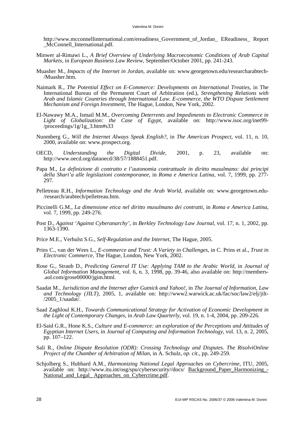[http://www.mcconnellinternational.com/ereadiness\\_Government\\_of\\_Jordan\\_ E](http://www.mcconnellinternational.com/ereadiness_Government_of_Jordan_)Readiness\_ Report McConnell International.pdf.

- Minwer al-Rimawi L., *A Brief Overview of Underlying Macroeconomic Conditions of Arab Capital Markets*, in *European Business Law Review*, September/October 2001, pp. 241-243.
- Muasher M., *Impacts of the Internet in Jordan*, available on: [www.georgetown.edu/researcharabtech-](http://www.georgetown.edu/researcharabtech-/Muasher.htm) [/Muasher.htm.](http://www.georgetown.edu/researcharabtech-/Muasher.htm)
- Naimark R., *The Potential Effect on E-Commerce: Developments on International Treaties*, in The International Bureau of the Permanent Court of Arbitration (ed.), *Strengthening Relations with Arab and Islamic Countries through International Law. E-commerce, the WTO Dispute Settlement Mechanism and Foreign Investment*, The Hague, London, New York, 2002.
- El-Nawawy M.A., Ismail M.M., *Overcoming Deterrents and Impediments to Electronic Commerce in Light of Globalization: the Case of Egypt*, available on: [http://www.isoc.org/inet99-](http://www.isoc.org/inet99-/proceedings/1g/1g_3.htm#s33) [/proceedings/1g/1g\\_3.htm#s33](http://www.isoc.org/inet99-/proceedings/1g/1g_3.htm#s33)
- Nunmberg G., *Will the Internet Always Speak English?*, in *The American Prospect*, vol. 11, n. 10, 2000, available on: [www.prospect.org.](http://www.prospect.org)
- OECD, *Understanding the Digital Divide*, 2001, p. 23, available on: [http://www.oecd.org/dataoecd/38/57/1888451.pdf.](http://www.oecd.org/dataoecd/38/57/1888451.pdf)
- Papa M., *La definizione di contratto e l'autonomia contrattuale in diritto musulmano: dai principi della Shari'a alle legislazioni contemporanee*, in *Roma e America Latina*, vol. 7, 1999, pp. 277- 297.
- Pelletreau R.H., *Information Technology and the Arab World*, available on: [www.georgetown.edu-](http://www.georgetown.edu-/research/arabtech/pelletreau.htm) [/research/arabtech/pelletreau.htm.](http://www.georgetown.edu-/research/arabtech/pelletreau.htm)
- Piccinelli G.M., *La dimensione etica nel diritto musulmano dei contratti*, in *Roma e America Latina*, vol. 7, 1999, pp. 249-276.
- Post D., *Against 'Against Cyberanarchy'*, in *Berkley Technology Law Journal*, vol. 17, n. 1, 2002, pp. 1363-1390.
- Price M.E., Verhulst S.G., *Self-Regulation and the Internet*, The Hague, 2005.
- Prins C., van der Wees L., *E-commerce and Trust: A Variety in Challenges*, in C. Prins et al., *Trust in Electronic Commerce*, The Hague, London, New York, 2002.
- Rose G., Straub D., *Predicting General IT Use: Applying TAM to the Arabic World*, in *Journal of Global Information Management*, vol. 6, n. 3, 1998, pp. 39-46, also available on: [http://members-](http://members-.aol.com/grose00000/jgim.html) [.aol.com/grose00000/jgim.html.](http://members-.aol.com/grose00000/jgim.html)
- Saadat M., *Jurisdiction and the Internet after Gutnick and Yahoo!*, in *The Journal of Information, Law and Technology (JILT)*, 2005, 1, available on: [http://www2.warwick.ac.uk/fac/soc/law2/elj/jilt-](http://www2.warwick.ac.uk/fac/soc/law2/elj/jilt-/2005_1/saadat)  $/2005$  1/saadat/.
- Saad Zaghloul K.H., *Towards Communicational Strategy for Activation of Economic Development in the Light of Contemporary Changes*, in *Arab Law Quarterly*, vol. 19, n. 1-4, 2004, pp. 209-226.
- El-Said G.R., Hone K.S., *Culture and E-commerce: an exploration of the Perceptions and Attitudes of Egyptian Internet Users*, in *Journal of Computing and Information Technology*, vol. 13, n. 2, 2005, pp. 107–122.
- Sali R., *Online Dispute Resolution (ODR): Crossing Technology and Disputes. The RisolviOnline Project of the Chamber of Arbitration of Milan*, in A. Schulz, *op. cit.*, pp. 249-259.
- Schjolberg S., Hubbard A.M., *Harmonizing National Legal Approaches on Cybercrime*, ITU, 2005, available on: [http://www.itu.int/osg/spu/cybersecurity//docs/](http://www.itu.int/osg/spu/cybersecurity//docs) Background\_Paper\_Harmonizing\_- National and Legal Approaches on Cybercrime.pdf.